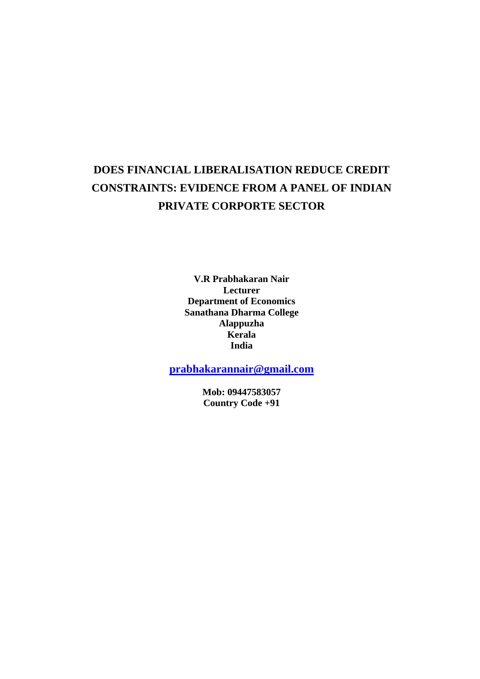# **DOES FINANCIAL LIBERALISATION REDUCE CREDIT CONSTRAINTS: EVIDENCE FROM A PANEL OF INDIAN PRIVATE CORPORTE SECTOR**

**V.R Prabhakaran Nair Lecturer Department of Economics Sanathana Dharma College Alappuzha Kerala India** 

**[prabhakarannair@gmail.com](mailto:prabhakarannair@gmail.com)**

**Mob: 09447583057 Country Code +91**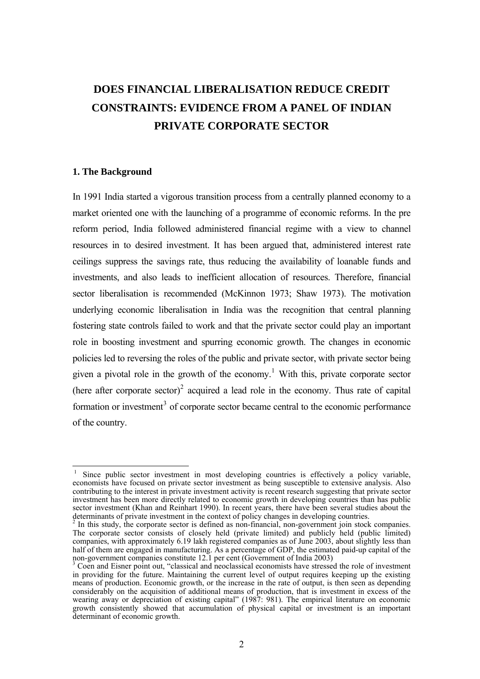# **DOES FINANCIAL LIBERALISATION REDUCE CREDIT CONSTRAINTS: EVIDENCE FROM A PANEL OF INDIAN PRIVATE CORPORATE SECTOR**

# **1. The Background**

 $\overline{a}$ 

In 1991 India started a vigorous transition process from a centrally planned economy to a market oriented one with the launching of a programme of economic reforms. In the pre reform period, India followed administered financial regime with a view to channel resources in to desired investment. It has been argued that, administered interest rate ceilings suppress the savings rate, thus reducing the availability of loanable funds and investments, and also leads to inefficient allocation of resources. Therefore, financial sector liberalisation is recommended (McKinnon 1973; Shaw 1973). The motivation underlying economic liberalisation in India was the recognition that central planning fostering state controls failed to work and that the private sector could play an important role in boosting investment and spurring economic growth. The changes in economic policies led to reversing the roles of the public and private sector, with private sector being given a pivotal role in the growth of the economy.<sup>[1](#page-1-0)</sup> With this, private corporate sector (here after corporate sector)<sup>[2](#page-1-1)</sup> acquired a lead role in the economy. Thus rate of capital formation or investment<sup>[3](#page-1-2)</sup> of corporate sector became central to the economic performance of the country.

<span id="page-1-0"></span><sup>1</sup> Since public sector investment in most developing countries is effectively a policy variable, economists have focused on private sector investment as being susceptible to extensive analysis. Also contributing to the interest in private investment activity is recent research suggesting that private sector investment has been more directly related to economic growth in developing countries than has public sector investment (Khan and Reinhart 1990). In recent years, there have been several studies about the determinants of private investment in the context of policy changes in developing countries. 2 In this study, the corporate sector is defined as non-financial, non-government join stock companies.

<span id="page-1-1"></span>The corporate sector consists of closely held (private limited) and publicly held (public limited) companies, with approximately 6.19 lakh registered companies as of June 2003, about slightly less than half of them are engaged in manufacturing. As a percentage of GDP, the estimated paid-up capital of the non-government companies constitute 12.1 per cent (Government of India 2003)<br><sup>3</sup> Coen and Eisner point out, "classical and neoclassical economists have stressed the role of investment

<span id="page-1-2"></span>in providing for the future. Maintaining the current level of output requires keeping up the existing means of production. Economic growth, or the increase in the rate of output, is then seen as depending considerably on the acquisition of additional means of production, that is investment in excess of the wearing away or depreciation of existing capital" (1987: 981). The empirical literature on economic growth consistently showed that accumulation of physical capital or investment is an important determinant of economic growth.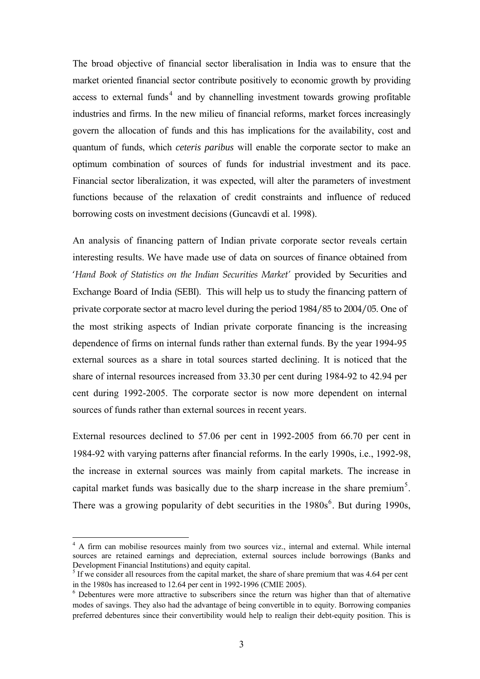The broad objective of financial sector liberalisation in India was to ensure that the market oriented financial sector contribute positively to economic growth by providing access to external funds<sup>[4](#page-2-0)</sup> and by channelling investment towards growing profitable industries and firms. In the new milieu of financial reforms, market forces increasingly govern the allocation of funds and this has implications for the availability, cost and quantum of funds, which *ceteris paribus* will enable the corporate sector to make an optimum combination of sources of funds for industrial investment and its pace. Financial sector liberalization, it was expected, will alter the parameters of investment functions because of the relaxation of credit constraints and influence of reduced borrowing costs on investment decisions (Guncavdi et al. 1998).

An analysis of financing pattern of Indian private corporate sector reveals certain interesting results. We have made use of data on sources of finance obtained from '*Hand Book of Statistics on the Indian Securities Market'* provided by Securities and Exchange Board of India (SEBI). This will help us to study the financing pattern of private corporate sector at macro level during the period 1984/85 to 2004/05. One of the most striking aspects of Indian private corporate financing is the increasing dependence of firms on internal funds rather than external funds. By the year 1994-95 external sources as a share in total sources started declining. It is noticed that the share of internal resources increased from 33.30 per cent during 1984-92 to 42.94 per cent during 1992-2005. The corporate sector is now more dependent on internal sources of funds rather than external sources in recent years.

External resources declined to 57.06 per cent in 1992-2005 from 66.70 per cent in 1984-92 with varying patterns after financial reforms. In the early 1990s, i.e., 1992-98, the increase in external sources was mainly from capital markets. The increase in capital market funds was basically due to the sharp increase in the share premium<sup>[5](#page-2-1)</sup>. There was a growing popularity of debt securities in the  $1980s^6$  $1980s^6$ . But during 1990s,

<span id="page-2-0"></span><sup>&</sup>lt;sup>4</sup> A firm can mobilise resources mainly from two sources viz., internal and external. While internal sources are retained earnings and depreciation, external sources include borrowings (Banks and Development Financial Institutions) and equity capital.

<span id="page-2-1"></span> $<sup>5</sup>$  If we consider all resources from the capital market, the share of share premium that was 4.64 per cent</sup> in the 1980s has increased to 12.64 per cent in 1992-1996 (CMIE 2005).

<span id="page-2-2"></span><sup>&</sup>lt;sup>6</sup> Debentures were more attractive to subscribers since the return was higher than that of alternative modes of savings. They also had the advantage of being convertible in to equity. Borrowing companies preferred debentures since their convertibility would help to realign their debt-equity position. This is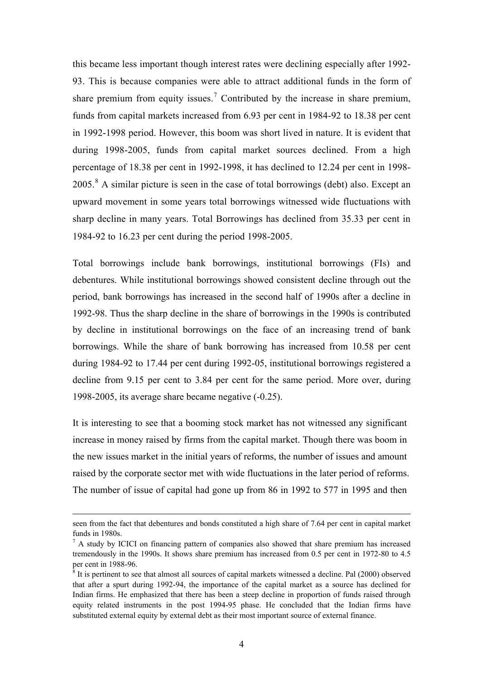this became less important though interest rates were declining especially after 1992- 93. This is because companies were able to attract additional funds in the form of share premium from equity issues.<sup>[7](#page-3-0)</sup> Contributed by the increase in share premium, funds from capital markets increased from 6.93 per cent in 1984-92 to 18.38 per cent in 1992-1998 period. However, this boom was short lived in nature. It is evident that during 1998-2005, funds from capital market sources declined. From a high percentage of 18.38 per cent in 1992-1998, it has declined to 12.24 per cent in 1998-  $2005$ .<sup>[8](#page-3-1)</sup> A similar picture is seen in the case of total borrowings (debt) also. Except an upward movement in some years total borrowings witnessed wide fluctuations with sharp decline in many years. Total Borrowings has declined from 35.33 per cent in 1984-92 to 16.23 per cent during the period 1998-2005.

Total borrowings include bank borrowings, institutional borrowings (FIs) and debentures. While institutional borrowings showed consistent decline through out the period, bank borrowings has increased in the second half of 1990s after a decline in 1992-98. Thus the sharp decline in the share of borrowings in the 1990s is contributed by decline in institutional borrowings on the face of an increasing trend of bank borrowings. While the share of bank borrowing has increased from 10.58 per cent during 1984-92 to 17.44 per cent during 1992-05, institutional borrowings registered a decline from 9.15 per cent to 3.84 per cent for the same period. More over, during 1998-2005, its average share became negative (-0.25).

It is interesting to see that a booming stock market has not witnessed any significant increase in money raised by firms from the capital market. Though there was boom in the new issues market in the initial years of reforms, the number of issues and amount raised by the corporate sector met with wide fluctuations in the later period of reforms. The number of issue of capital had gone up from 86 in 1992 to 577 in 1995 and then

seen from the fact that debentures and bonds constituted a high share of 7.64 per cent in capital market funds in 1980s.

<span id="page-3-0"></span> $<sup>7</sup>$  A study by ICICI on financing pattern of companies also showed that share premium has increased</sup> tremendously in the 1990s. It shows share premium has increased from 0.5 per cent in 1972-80 to 4.5 per cent in 1988-96.

<span id="page-3-1"></span><sup>&</sup>lt;sup>8</sup> It is pertinent to see that almost all sources of capital markets witnessed a decline. Pal (2000) observed that after a spurt during 1992-94, the importance of the capital market as a source has declined for Indian firms. He emphasized that there has been a steep decline in proportion of funds raised through equity related instruments in the post 1994-95 phase. He concluded that the Indian firms have substituted external equity by external debt as their most important source of external finance.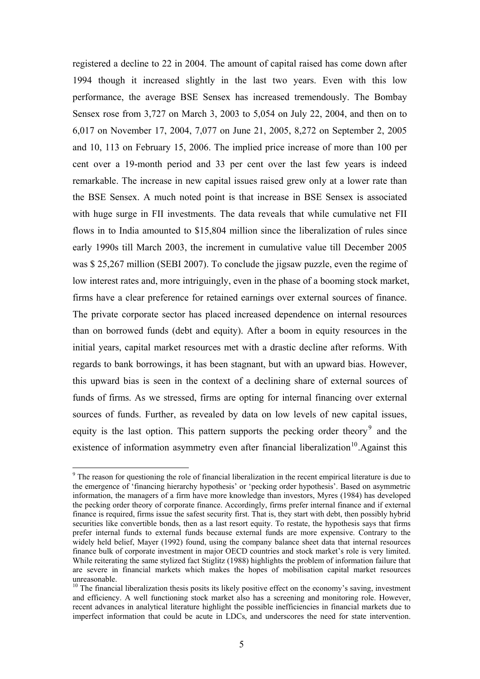registered a decline to 22 in 2004. The amount of capital raised has come down after 1994 though it increased slightly in the last two years. Even with this low performance, the average BSE Sensex has increased tremendously. The Bombay Sensex rose from 3,727 on March 3, 2003 to 5,054 on July 22, 2004, and then on to 6,017 on November 17, 2004, 7,077 on June 21, 2005, 8,272 on September 2, 2005 and 10, 113 on February 15, 2006. The implied price increase of more than 100 per cent over a 19-month period and 33 per cent over the last few years is indeed remarkable. The increase in new capital issues raised grew only at a lower rate than the BSE Sensex. A much noted point is that increase in BSE Sensex is associated with huge surge in FII investments. The data reveals that while cumulative net FII flows in to India amounted to \$15,804 million since the liberalization of rules since early 1990s till March 2003, the increment in cumulative value till December 2005 was \$ 25,267 million (SEBI 2007). To conclude the jigsaw puzzle, even the regime of low interest rates and, more intriguingly, even in the phase of a booming stock market, firms have a clear preference for retained earnings over external sources of finance. The private corporate sector has placed increased dependence on internal resources than on borrowed funds (debt and equity). After a boom in equity resources in the initial years, capital market resources met with a drastic decline after reforms. With regards to bank borrowings, it has been stagnant, but with an upward bias. However, this upward bias is seen in the context of a declining share of external sources of funds of firms. As we stressed, firms are opting for internal financing over external sources of funds. Further, as revealed by data on low levels of new capital issues, equity is the last option. This pattern supports the pecking order theory<sup>[9](#page-4-0)</sup> and the existence of information asymmetry even after financial liberalization<sup>[10](#page-4-1)</sup>.Against this

<span id="page-4-0"></span><sup>&</sup>lt;sup>9</sup> The reason for questioning the role of financial liberalization in the recent empirical literature is due to the emergence of 'financing hierarchy hypothesis' or 'pecking order hypothesis'. Based on asymmetric information, the managers of a firm have more knowledge than investors, Myres (1984) has developed the pecking order theory of corporate finance. Accordingly, firms prefer internal finance and if external finance is required, firms issue the safest security first. That is, they start with debt, then possibly hybrid securities like convertible bonds, then as a last resort equity. To restate, the hypothesis says that firms prefer internal funds to external funds because external funds are more expensive. Contrary to the widely held belief, Mayer (1992) found, using the company balance sheet data that internal resources finance bulk of corporate investment in major OECD countries and stock market's role is very limited. While reiterating the same stylized fact Stiglitz (1988) highlights the problem of information failure that are severe in financial markets which makes the hopes of mobilisation capital market resources unreasonable.

<span id="page-4-1"></span><sup>&</sup>lt;sup>10</sup> The financial liberalization thesis posits its likely positive effect on the economy's saving, investment and efficiency. A well functioning stock market also has a screening and monitoring role. However, recent advances in analytical literature highlight the possible inefficiencies in financial markets due to imperfect information that could be acute in LDCs, and underscores the need for state intervention.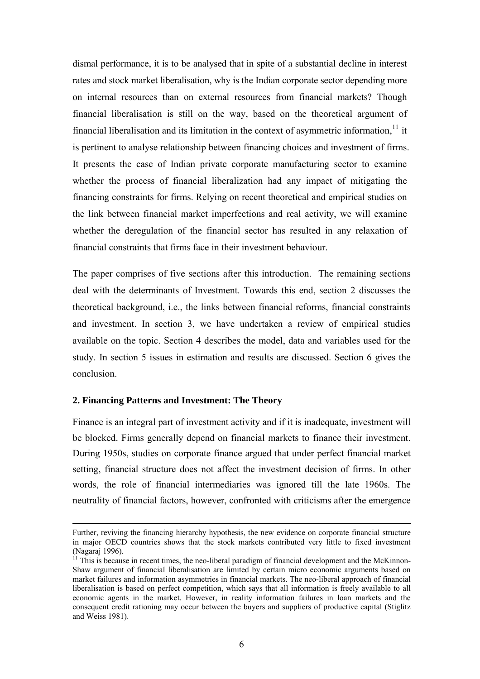dismal performance, it is to be analysed that in spite of a substantial decline in interest rates and stock market liberalisation, why is the Indian corporate sector depending more on internal resources than on external resources from financial markets? Though financial liberalisation is still on the way, based on the theoretical argument of financial liberalisation and its limitation in the context of asymmetric information, $<sup>11</sup>$  $<sup>11</sup>$  $<sup>11</sup>$  it</sup> is pertinent to analyse relationship between financing choices and investment of firms. It presents the case of Indian private corporate manufacturing sector to examine whether the process of financial liberalization had any impact of mitigating the financing constraints for firms. Relying on recent theoretical and empirical studies on the link between financial market imperfections and real activity, we will examine whether the deregulation of the financial sector has resulted in any relaxation of financial constraints that firms face in their investment behaviour.

The paper comprises of five sections after this introduction. The remaining sections deal with the determinants of Investment. Towards this end, section 2 discusses the theoretical background, i.e., the links between financial reforms, financial constraints and investment. In section 3, we have undertaken a review of empirical studies available on the topic. Section 4 describes the model, data and variables used for the study. In section 5 issues in estimation and results are discussed. Section 6 gives the conclusion.

# **2. Financing Patterns and Investment: The Theory**

Finance is an integral part of investment activity and if it is inadequate, investment will be blocked. Firms generally depend on financial markets to finance their investment. During 1950s, studies on corporate finance argued that under perfect financial market setting, financial structure does not affect the investment decision of firms. In other words, the role of financial intermediaries was ignored till the late 1960s. The neutrality of financial factors, however, confronted with criticisms after the emergence

Further, reviving the financing hierarchy hypothesis, the new evidence on corporate financial structure in major OECD countries shows that the stock markets contributed very little to fixed investment (Nagaraj 1996).

<span id="page-5-0"></span> $11$  This is because in recent times, the neo-liberal paradigm of financial development and the McKinnon-Shaw argument of financial liberalisation are limited by certain micro economic arguments based on market failures and information asymmetries in financial markets. The neo-liberal approach of financial liberalisation is based on perfect competition, which says that all information is freely available to all economic agents in the market. However, in reality information failures in loan markets and the consequent credit rationing may occur between the buyers and suppliers of productive capital (Stiglitz and Weiss 1981).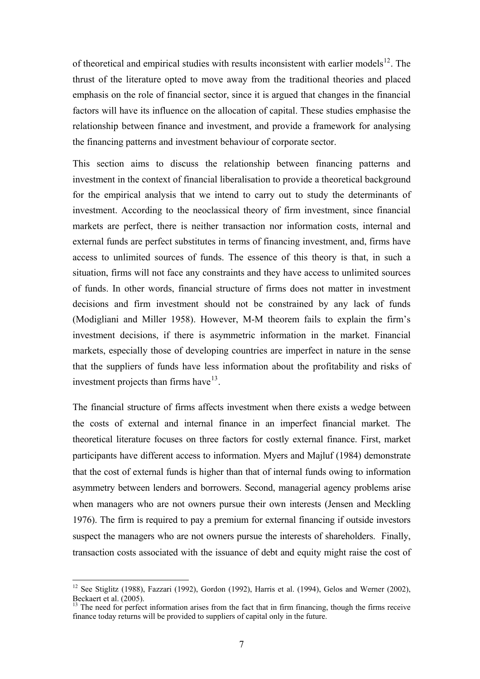of theoretical and empirical studies with results inconsistent with earlier models $^{12}$  $^{12}$  $^{12}$ . The thrust of the literature opted to move away from the traditional theories and placed emphasis on the role of financial sector, since it is argued that changes in the financial factors will have its influence on the allocation of capital. These studies emphasise the relationship between finance and investment, and provide a framework for analysing the financing patterns and investment behaviour of corporate sector.

This section aims to discuss the relationship between financing patterns and investment in the context of financial liberalisation to provide a theoretical background for the empirical analysis that we intend to carry out to study the determinants of investment. According to the neoclassical theory of firm investment, since financial markets are perfect, there is neither transaction nor information costs, internal and external funds are perfect substitutes in terms of financing investment, and, firms have access to unlimited sources of funds. The essence of this theory is that, in such a situation, firms will not face any constraints and they have access to unlimited sources of funds. In other words, financial structure of firms does not matter in investment decisions and firm investment should not be constrained by any lack of funds (Modigliani and Miller 1958). However, M-M theorem fails to explain the firm's investment decisions, if there is asymmetric information in the market. Financial markets, especially those of developing countries are imperfect in nature in the sense that the suppliers of funds have less information about the profitability and risks of investment projects than firms have  $13$ .

The financial structure of firms affects investment when there exists a wedge between the costs of external and internal finance in an imperfect financial market. The theoretical literature focuses on three factors for costly external finance. First, market participants have different access to information. Myers and Majluf (1984) demonstrate that the cost of external funds is higher than that of internal funds owing to information asymmetry between lenders and borrowers. Second, managerial agency problems arise when managers who are not owners pursue their own interests (Jensen and Meckling 1976). The firm is required to pay a premium for external financing if outside investors suspect the managers who are not owners pursue the interests of shareholders. Finally, transaction costs associated with the issuance of debt and equity might raise the cost of

<span id="page-6-0"></span><sup>&</sup>lt;sup>12</sup> See Stiglitz (1988), Fazzari (1992), Gordon (1992), Harris et al. (1994), Gelos and Werner (2002), Beckaert et al. (2005).

<span id="page-6-1"></span><sup>&</sup>lt;sup>13</sup> The need for perfect information arises from the fact that in firm financing, though the firms receive finance today returns will be provided to suppliers of capital only in the future.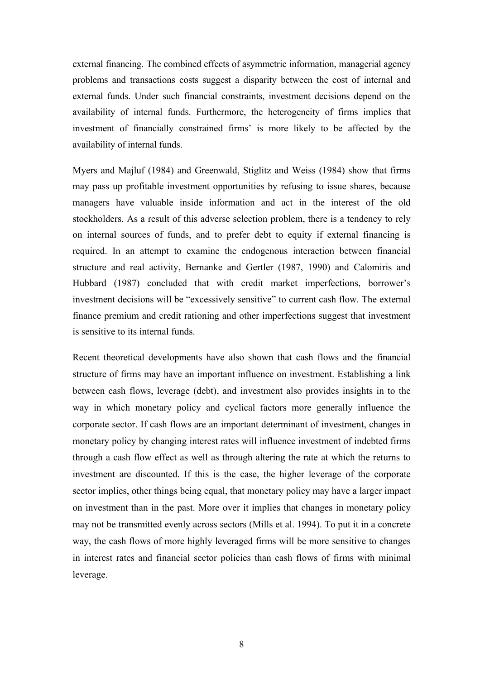external financing. The combined effects of asymmetric information, managerial agency problems and transactions costs suggest a disparity between the cost of internal and external funds. Under such financial constraints, investment decisions depend on the availability of internal funds. Furthermore, the heterogeneity of firms implies that investment of financially constrained firms' is more likely to be affected by the availability of internal funds.

Myers and Majluf (1984) and Greenwald, Stiglitz and Weiss (1984) show that firms may pass up profitable investment opportunities by refusing to issue shares, because managers have valuable inside information and act in the interest of the old stockholders. As a result of this adverse selection problem, there is a tendency to rely on internal sources of funds, and to prefer debt to equity if external financing is required. In an attempt to examine the endogenous interaction between financial structure and real activity, Bernanke and Gertler (1987, 1990) and Calomiris and Hubbard (1987) concluded that with credit market imperfections, borrower's investment decisions will be "excessively sensitive" to current cash flow. The external finance premium and credit rationing and other imperfections suggest that investment is sensitive to its internal funds.

Recent theoretical developments have also shown that cash flows and the financial structure of firms may have an important influence on investment. Establishing a link between cash flows, leverage (debt), and investment also provides insights in to the way in which monetary policy and cyclical factors more generally influence the corporate sector. If cash flows are an important determinant of investment, changes in monetary policy by changing interest rates will influence investment of indebted firms through a cash flow effect as well as through altering the rate at which the returns to investment are discounted. If this is the case, the higher leverage of the corporate sector implies, other things being equal, that monetary policy may have a larger impact on investment than in the past. More over it implies that changes in monetary policy may not be transmitted evenly across sectors (Mills et al. 1994). To put it in a concrete way, the cash flows of more highly leveraged firms will be more sensitive to changes in interest rates and financial sector policies than cash flows of firms with minimal leverage.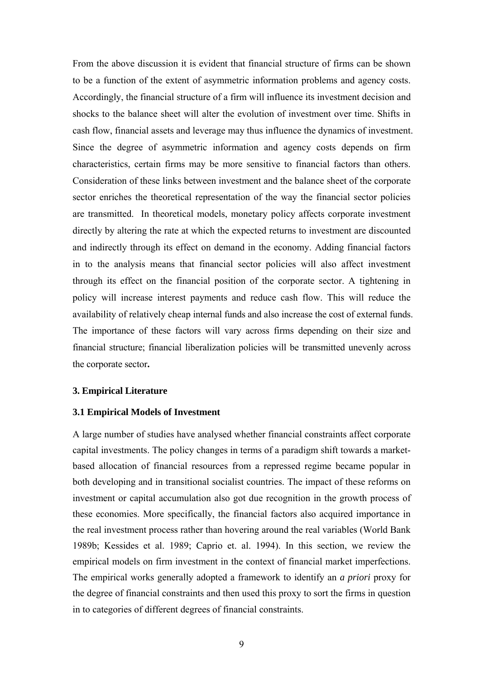From the above discussion it is evident that financial structure of firms can be shown to be a function of the extent of asymmetric information problems and agency costs. Accordingly, the financial structure of a firm will influence its investment decision and shocks to the balance sheet will alter the evolution of investment over time. Shifts in cash flow, financial assets and leverage may thus influence the dynamics of investment. Since the degree of asymmetric information and agency costs depends on firm characteristics, certain firms may be more sensitive to financial factors than others. Consideration of these links between investment and the balance sheet of the corporate sector enriches the theoretical representation of the way the financial sector policies are transmitted. In theoretical models, monetary policy affects corporate investment directly by altering the rate at which the expected returns to investment are discounted and indirectly through its effect on demand in the economy. Adding financial factors in to the analysis means that financial sector policies will also affect investment through its effect on the financial position of the corporate sector. A tightening in policy will increase interest payments and reduce cash flow. This will reduce the availability of relatively cheap internal funds and also increase the cost of external funds. The importance of these factors will vary across firms depending on their size and financial structure; financial liberalization policies will be transmitted unevenly across the corporate sector**.** 

# **3. Empirical Literature**

# **3.1 Empirical Models of Investment**

A large number of studies have analysed whether financial constraints affect corporate capital investments. The policy changes in terms of a paradigm shift towards a marketbased allocation of financial resources from a repressed regime became popular in both developing and in transitional socialist countries. The impact of these reforms on investment or capital accumulation also got due recognition in the growth process of these economies. More specifically, the financial factors also acquired importance in the real investment process rather than hovering around the real variables (World Bank 1989b; Kessides et al. 1989; Caprio et. al. 1994). In this section, we review the empirical models on firm investment in the context of financial market imperfections. The empirical works generally adopted a framework to identify an *a priori* proxy for the degree of financial constraints and then used this proxy to sort the firms in question in to categories of different degrees of financial constraints.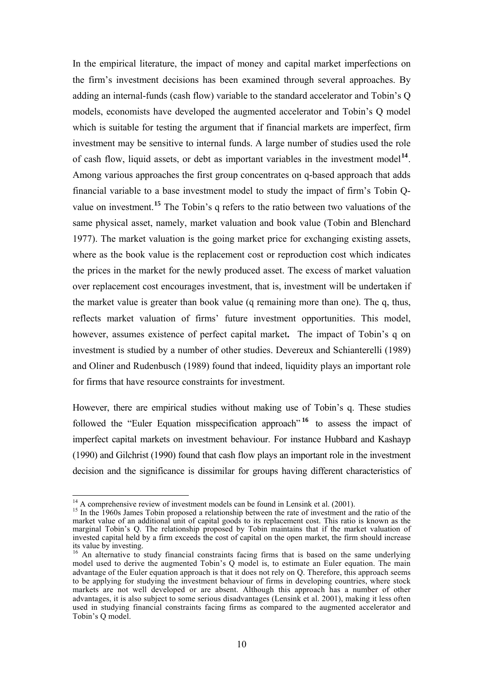In the empirical literature, the impact of money and capital market imperfections on the firm's investment decisions has been examined through several approaches. By adding an internal-funds (cash flow) variable to the standard accelerator and Tobin's Q models, economists have developed the augmented accelerator and Tobin's Q model which is suitable for testing the argument that if financial markets are imperfect, firm investment may be sensitive to internal funds. A large number of studies used the role of cash flow, liquid assets, or debt as important variables in the investment model**[14](#page-9-0)**. Among various approaches the first group concentrates on q-based approach that adds financial variable to a base investment model to study the impact of firm's Tobin Qvalue on investment.**[15](#page-9-1)** The Tobin's q refers to the ratio between two valuations of the same physical asset, namely, market valuation and book value (Tobin and Blenchard 1977). The market valuation is the going market price for exchanging existing assets, where as the book value is the replacement cost or reproduction cost which indicates the prices in the market for the newly produced asset. The excess of market valuation over replacement cost encourages investment, that is, investment will be undertaken if the market value is greater than book value (q remaining more than one). The q, thus, reflects market valuation of firms' future investment opportunities. This model, however, assumes existence of perfect capital market**.** The impact of Tobin's q on investment is studied by a number of other studies. Devereux and Schianterelli (1989) and Oliner and Rudenbusch (1989) found that indeed, liquidity plays an important role for firms that have resource constraints for investment.

However, there are empirical studies without making use of Tobin's q. These studies followed the "Euler Equation misspecification approach" **[16](#page-9-2)** to assess the impact of imperfect capital markets on investment behaviour. For instance Hubbard and Kashayp (1990) and Gilchrist (1990) found that cash flow plays an important role in the investment decision and the significance is dissimilar for groups having different characteristics of

 $14$  A comprehensive review of investment models can be found in Lensink et al. (2001).

<span id="page-9-1"></span><span id="page-9-0"></span><sup>&</sup>lt;sup>15</sup> In the 1960s James Tobin proposed a relationship between the rate of investment and the ratio of the market value of an additional unit of capital goods to its replacement cost. This ratio is known as the marginal Tobin's Q. The relationship proposed by Tobin maintains that if the market valuation of invested capital held by a firm exceeds the cost of capital on the open market, the firm should increase its value by investing.

<span id="page-9-2"></span><sup>&</sup>lt;sup>16</sup> An alternative to study financial constraints facing firms that is based on the same underlying model used to derive the augmented Tobin's Q model is, to estimate an Euler equation. The main advantage of the Euler equation approach is that it does not rely on Q. Therefore, this approach seems to be applying for studying the investment behaviour of firms in developing countries, where stock markets are not well developed or are absent. Although this approach has a number of other advantages, it is also subject to some serious disadvantages (Lensink et al. 2001), making it less often used in studying financial constraints facing firms as compared to the augmented accelerator and Tobin's Q model.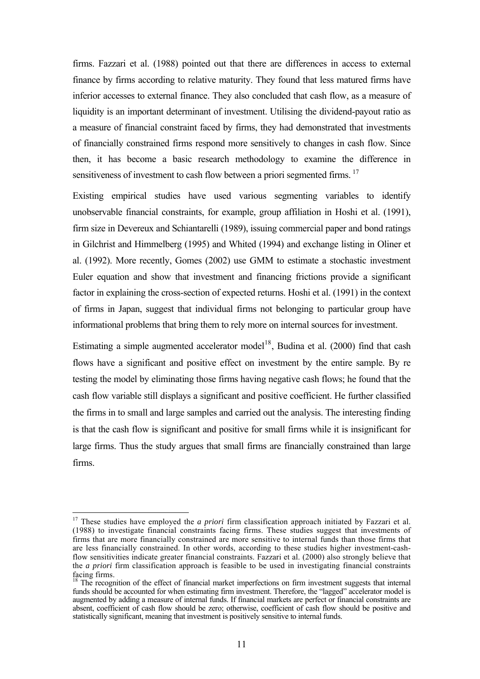firms. Fazzari et al. (1988) pointed out that there are differences in access to external finance by firms according to relative maturity. They found that less matured firms have inferior accesses to external finance. They also concluded that cash flow, as a measure of liquidity is an important determinant of investment. Utilising the dividend-payout ratio as a measure of financial constraint faced by firms, they had demonstrated that investments of financially constrained firms respond more sensitively to changes in cash flow. Since then, it has become a basic research methodology to examine the difference in sensitiveness of investment to cash flow between a priori segmented firms.<sup>[17](#page-10-0)</sup>

Existing empirical studies have used various segmenting variables to identify unobservable financial constraints, for example, group affiliation in Hoshi et al. (1991), firm size in Devereux and Schiantarelli (1989), issuing commercial paper and bond ratings in Gilchrist and Himmelberg (1995) and Whited (1994) and exchange listing in Oliner et al. (1992). More recently, Gomes (2002) use GMM to estimate a stochastic investment Euler equation and show that investment and financing frictions provide a significant factor in explaining the cross-section of expected returns. Hoshi et al. (1991) in the context of firms in Japan, suggest that individual firms not belonging to particular group have informational problems that bring them to rely more on internal sources for investment.

Estimating a simple augmented accelerator model<sup>[18](#page-10-1)</sup>, Budina et al. (2000) find that cash flows have a significant and positive effect on investment by the entire sample. By re testing the model by eliminating those firms having negative cash flows; he found that the cash flow variable still displays a significant and positive coefficient. He further classified the firms in to small and large samples and carried out the analysis. The interesting finding is that the cash flow is significant and positive for small firms while it is insignificant for large firms. Thus the study argues that small firms are financially constrained than large firms.

<span id="page-10-0"></span><sup>&</sup>lt;sup>17</sup> These studies have employed the *a priori* firm classification approach initiated by Fazzari et al. (1988) to investigate financial constraints facing firms. These studies suggest that investments of firms that are more financially constrained are more sensitive to internal funds than those firms that are less financially constrained. In other words, according to these studies higher investment-cashflow sensitivities indicate greater financial constraints. Fazzari et al. (2000) also strongly believe that the *a priori* firm classification approach is feasible to be used in investigating financial constraints facing firms.

<span id="page-10-1"></span><sup>&</sup>lt;sup>18</sup> The recognition of the effect of financial market imperfections on firm investment suggests that internal funds should be accounted for when estimating firm investment. Therefore, the "lagged" accelerator model is augmented by adding a measure of internal funds. If financial markets are perfect or financial constraints are absent, coefficient of cash flow should be zero; otherwise, coefficient of cash flow should be positive and statistically significant, meaning that investment is positively sensitive to internal funds.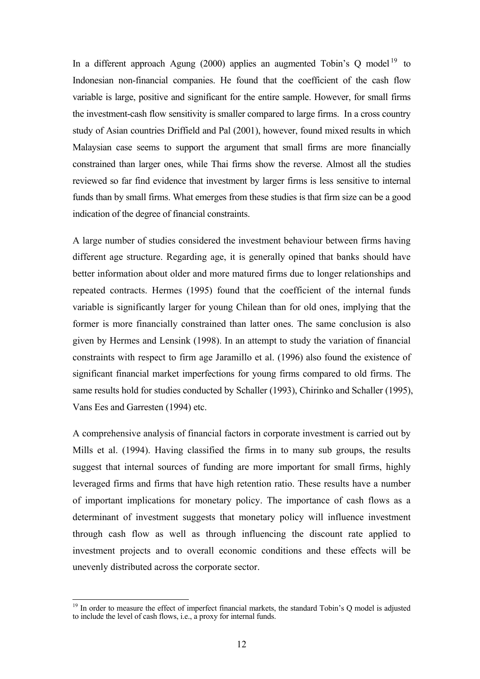In a different approach Agung (2000) applies an augmented Tobin's Q model<sup>[19](#page-11-0)</sup> to Indonesian non-financial companies. He found that the coefficient of the cash flow variable is large, positive and significant for the entire sample. However, for small firms the investment-cash flow sensitivity is smaller compared to large firms. In a cross country study of Asian countries Driffield and Pal (2001), however, found mixed results in which Malaysian case seems to support the argument that small firms are more financially constrained than larger ones, while Thai firms show the reverse. Almost all the studies reviewed so far find evidence that investment by larger firms is less sensitive to internal funds than by small firms. What emerges from these studies is that firm size can be a good indication of the degree of financial constraints.

A large number of studies considered the investment behaviour between firms having different age structure. Regarding age, it is generally opined that banks should have better information about older and more matured firms due to longer relationships and repeated contracts. Hermes (1995) found that the coefficient of the internal funds variable is significantly larger for young Chilean than for old ones, implying that the former is more financially constrained than latter ones. The same conclusion is also given by Hermes and Lensink (1998). In an attempt to study the variation of financial constraints with respect to firm age Jaramillo et al. (1996) also found the existence of significant financial market imperfections for young firms compared to old firms. The same results hold for studies conducted by Schaller (1993), Chirinko and Schaller (1995), Vans Ees and Garresten (1994) etc.

A comprehensive analysis of financial factors in corporate investment is carried out by Mills et al. (1994). Having classified the firms in to many sub groups, the results suggest that internal sources of funding are more important for small firms, highly leveraged firms and firms that have high retention ratio. These results have a number of important implications for monetary policy. The importance of cash flows as a determinant of investment suggests that monetary policy will influence investment through cash flow as well as through influencing the discount rate applied to investment projects and to overall economic conditions and these effects will be unevenly distributed across the corporate sector.

<span id="page-11-0"></span> $19$  In order to measure the effect of imperfect financial markets, the standard Tobin's Q model is adjusted to include the level of cash flows, i.e., a proxy for internal funds.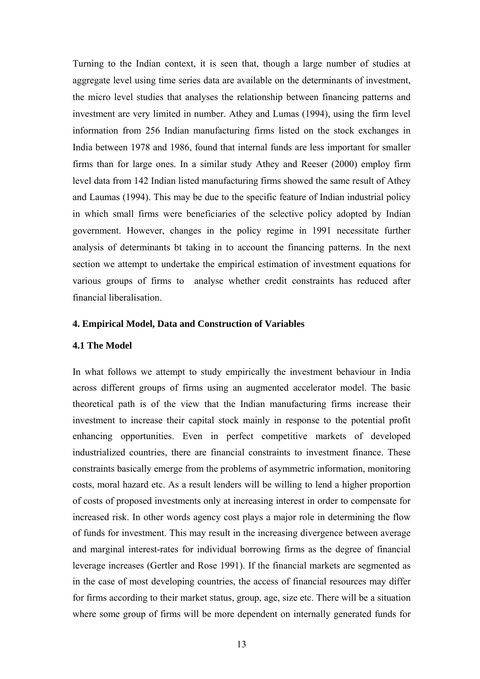Turning to the Indian context, it is seen that, though a large number of studies at aggregate level using time series data are available on the determinants of investment, the micro level studies that analyses the relationship between financing patterns and investment are very limited in number. Athey and Lumas (1994), using the firm level information from 256 Indian manufacturing firms listed on the stock exchanges in India between 1978 and 1986, found that internal funds are less important for smaller firms than for large ones. In a similar study Athey and Reeser (2000) employ firm level data from 142 Indian listed manufacturing firms showed the same result of Athey and Laumas (1994). This may be due to the specific feature of Indian industrial policy in which small firms were beneficiaries of the selective policy adopted by Indian government. However, changes in the policy regime in 1991 necessitate further analysis of determinants bt taking in to account the financing patterns. In the next section we attempt to undertake the empirical estimation of investment equations for various groups of firms to analyse whether credit constraints has reduced after financial liberalisation.

#### **4. Empirical Model, Data and Construction of Variables**

#### **4.1 The Model**

In what follows we attempt to study empirically the investment behaviour in India across different groups of firms using an augmented accelerator model. The basic theoretical path is of the view that the Indian manufacturing firms increase their investment to increase their capital stock mainly in response to the potential profit enhancing opportunities. Even in perfect competitive markets of developed industrialized countries, there are financial constraints to investment finance. These constraints basically emerge from the problems of asymmetric information, monitoring costs, moral hazard etc. As a result lenders will be willing to lend a higher proportion of costs of proposed investments only at increasing interest in order to compensate for increased risk. In other words agency cost plays a major role in determining the flow of funds for investment. This may result in the increasing divergence between average and marginal interest-rates for individual borrowing firms as the degree of financial leverage increases (Gertler and Rose 1991). If the financial markets are segmented as in the case of most developing countries, the access of financial resources may differ for firms according to their market status, group, age, size etc. There will be a situation where some group of firms will be more dependent on internally generated funds for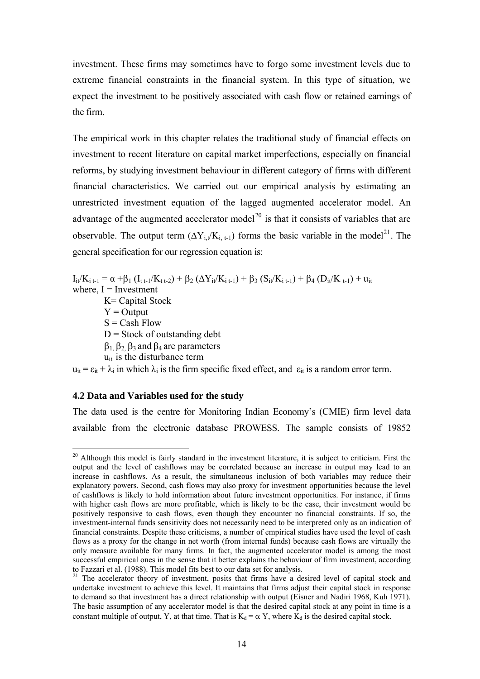investment. These firms may sometimes have to forgo some investment levels due to extreme financial constraints in the financial system. In this type of situation, we expect the investment to be positively associated with cash flow or retained earnings of the firm.

The empirical work in this chapter relates the traditional study of financial effects on investment to recent literature on capital market imperfections, especially on financial reforms, by studying investment behaviour in different category of firms with different financial characteristics. We carried out our empirical analysis by estimating an unrestricted investment equation of the lagged augmented accelerator model. An advantage of the augmented accelerator model<sup>[20](#page-13-0)</sup> is that it consists of variables that are observable. The output term  $(\Delta Y_{i,t}/K_{i,t-1})$  forms the basic variable in the model<sup>[21](#page-13-1)</sup>. The general specification for our regression equation is:

 $I_{ii}/K_{i,i-1} = \alpha + \beta_1 (I_{i,i-1}/K_{i,i-2}) + \beta_2 (\Delta Y_{ii}/K_{i,i-1}) + \beta_3 (S_{ii}/K_{i,i-1}) + \beta_4 (D_{ii}/K_{i,i-1}) + u_{ii}$ where,  $I =$  Investment

 K= Capital Stock  $Y =$ Output  $S = Cash Flow$  $D = Stock$  of outstanding debt  $\beta_1$ ,  $\beta_2$ ,  $\beta_3$  and  $\beta_4$  are parameters  $u_{it}$  is the disturbance term

 $u_{it} = \varepsilon_{it} + \lambda_i$  in which  $\lambda_i$  is the firm specific fixed effect, and  $\varepsilon_{it}$  is a random error term.

# **4.2 Data and Variables used for the study**

 $\overline{a}$ 

The data used is the centre for Monitoring Indian Economy's (CMIE) firm level data available from the electronic database PROWESS. The sample consists of 19852

<span id="page-13-0"></span><sup>&</sup>lt;sup>20</sup> Although this model is fairly standard in the investment literature, it is subject to criticism. First the output and the level of cashflows may be correlated because an increase in output may lead to an increase in cashflows. As a result, the simultaneous inclusion of both variables may reduce their explanatory powers. Second, cash flows may also proxy for investment opportunities because the level of cashflows is likely to hold information about future investment opportunities. For instance, if firms with higher cash flows are more profitable, which is likely to be the case, their investment would be positively responsive to cash flows, even though they encounter no financial constraints. If so, the investment-internal funds sensitivity does not necessarily need to be interpreted only as an indication of financial constraints. Despite these criticisms, a number of empirical studies have used the level of cash flows as a proxy for the change in net worth (from internal funds) because cash flows are virtually the only measure available for many firms. In fact, the augmented accelerator model is among the most successful empirical ones in the sense that it better explains the behaviour of firm investment, according to Fazzari et al. (1988). This model fits best to our data set for analysis.

<span id="page-13-1"></span> $21$  The accelerator theory of investment, posits that firms have a desired level of capital stock and undertake investment to achieve this level. It maintains that firms adjust their capital stock in response to demand so that investment has a direct relationship with output (Eisner and Nadiri 1968, Kuh 1971). The basic assumption of any accelerator model is that the desired capital stock at any point in time is a constant multiple of output, Y, at that time. That is  $K_d = \alpha Y$ , where  $K_d$  is the desired capital stock.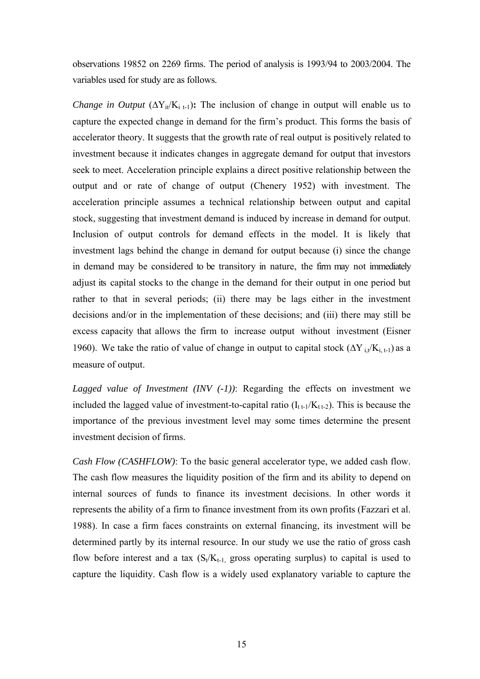observations 19852 on 2269 firms. The period of analysis is 1993/94 to 2003/2004. The variables used for study are as follows.

*Change in Output*  $(\Delta Y_{it}/K_{i,t-1})$ : The inclusion of change in output will enable us to capture the expected change in demand for the firm's product. This forms the basis of accelerator theory. It suggests that the growth rate of real output is positively related to investment because it indicates changes in aggregate demand for output that investors seek to meet. Acceleration principle explains a direct positive relationship between the output and or rate of change of output (Chenery 1952) with investment. The acceleration principle assumes a technical relationship between output and capital stock, suggesting that investment demand is induced by increase in demand for output. Inclusion of output controls for demand effects in the model. It is likely that investment lags behind the change in demand for output because (i) since the change in demand may be considered to be transitory in nature, the firm may not immediately adjust its capital stocks to the change in the demand for their output in one period but rather to that in several periods; (ii) there may be lags either in the investment decisions and/or in the implementation of these decisions; and (iii) there may still be excess capacity that allows the firm to increase output without investment (Eisner 1960). We take the ratio of value of change in output to capital stock  $(\Delta Y_{i,t}/K_{i,t-1})$  as a measure of output.

*Lagged value of Investment (INV (-1))*: Regarding the effects on investment we included the lagged value of investment-to-capital ratio  $(I_{t+1}/K_{t+2})$ . This is because the importance of the previous investment level may some times determine the present investment decision of firms.

*Cash Flow (CASHFLOW)*: To the basic general accelerator type, we added cash flow. The cash flow measures the liquidity position of the firm and its ability to depend on internal sources of funds to finance its investment decisions. In other words it represents the ability of a firm to finance investment from its own profits (Fazzari et al. 1988). In case a firm faces constraints on external financing, its investment will be determined partly by its internal resource. In our study we use the ratio of gross cash flow before interest and a tax  $(S_t/K_{t-1}$  gross operating surplus) to capital is used to capture the liquidity. Cash flow is a widely used explanatory variable to capture the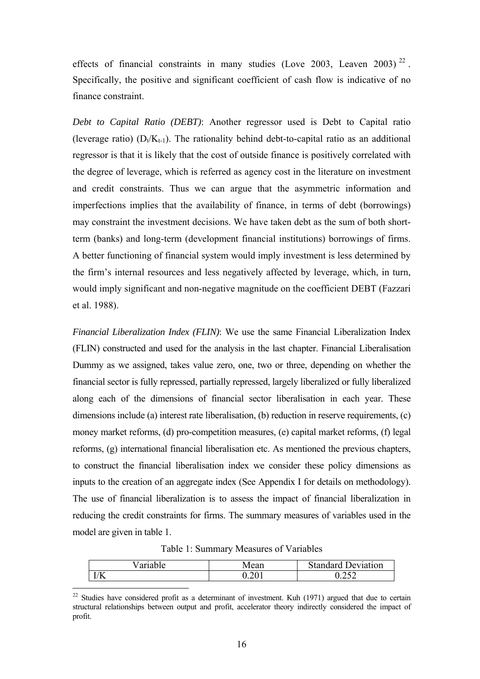effects of financial constraints in many studies (Love 2003, Leaven 2003)<sup>[22](#page-15-0)</sup>. Specifically, the positive and significant coefficient of cash flow is indicative of no finance constraint.

*Debt to Capital Ratio (DEBT)*: Another regressor used is Debt to Capital ratio (leverage ratio)  $(D_t/K_{t-1})$ . The rationality behind debt-to-capital ratio as an additional regressor is that it is likely that the cost of outside finance is positively correlated with the degree of leverage, which is referred as agency cost in the literature on investment and credit constraints. Thus we can argue that the asymmetric information and imperfections implies that the availability of finance, in terms of debt (borrowings) may constraint the investment decisions. We have taken debt as the sum of both shortterm (banks) and long-term (development financial institutions) borrowings of firms. A better functioning of financial system would imply investment is less determined by the firm's internal resources and less negatively affected by leverage, which, in turn, would imply significant and non-negative magnitude on the coefficient DEBT (Fazzari et al. 1988).

*Financial Liberalization Index (FLIN)*: We use the same Financial Liberalization Index (FLIN) constructed and used for the analysis in the last chapter. Financial Liberalisation Dummy as we assigned, takes value zero, one, two or three, depending on whether the financial sector is fully repressed, partially repressed, largely liberalized or fully liberalized along each of the dimensions of financial sector liberalisation in each year. These dimensions include (a) interest rate liberalisation, (b) reduction in reserve requirements, (c) money market reforms, (d) pro-competition measures, (e) capital market reforms, (f) legal reforms, (g) international financial liberalisation etc. As mentioned the previous chapters, to construct the financial liberalisation index we consider these policy dimensions as inputs to the creation of an aggregate index (See Appendix I for details on methodology). The use of financial liberalization is to assess the impact of financial liberalization in reducing the credit constraints for firms. The summary measures of variables used in the model are given in table 1.

Table 1: Summary Measures of Variables

| ⁄ariable              | Mean                      | Standard<br>eviation |
|-----------------------|---------------------------|----------------------|
| i /iz<br>$\mathbf{N}$ | $\cup$ . $\sim$<br>$\sim$ | ∪.∠J∠                |

<span id="page-15-0"></span> $22$  Studies have considered profit as a determinant of investment. Kuh (1971) argued that due to certain structural relationships between output and profit, accelerator theory indirectly considered the impact of profit.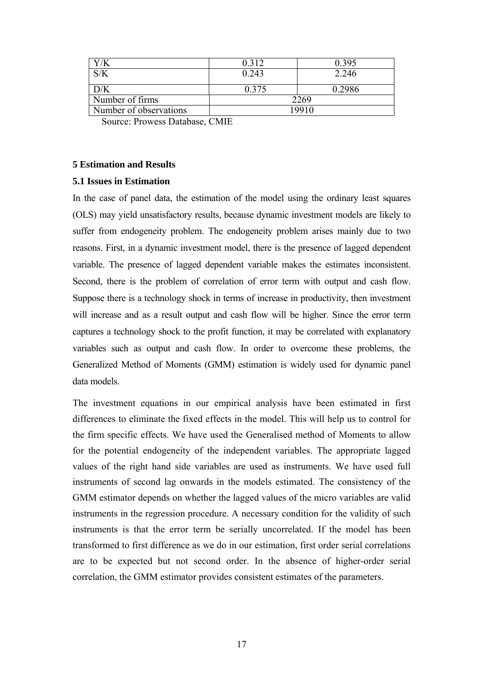|                                                            | 0.312         | 0.395  |
|------------------------------------------------------------|---------------|--------|
|                                                            | 0.243         | 2.246  |
| D/K                                                        | 0.375         | 0.2986 |
| Number of firms                                            |               | 2269   |
| Number of observations                                     | 19910         |        |
| $\mathbf{r}$ $\mathbf{r}$<br>$\sim$ $\sim$<br>$\mathbf{r}$ | $\sim$ $\sim$ |        |

Source: Prowess Database, CMIE

# **5 Estimation and Results**

# **5.1 Issues in Estimation**

In the case of panel data, the estimation of the model using the ordinary least squares (OLS) may yield unsatisfactory results, because dynamic investment models are likely to suffer from endogeneity problem. The endogeneity problem arises mainly due to two reasons. First, in a dynamic investment model, there is the presence of lagged dependent variable. The presence of lagged dependent variable makes the estimates inconsistent. Second, there is the problem of correlation of error term with output and cash flow. Suppose there is a technology shock in terms of increase in productivity, then investment will increase and as a result output and cash flow will be higher. Since the error term captures a technology shock to the profit function, it may be correlated with explanatory variables such as output and cash flow. In order to overcome these problems, the Generalized Method of Moments (GMM) estimation is widely used for dynamic panel data models.

The investment equations in our empirical analysis have been estimated in first differences to eliminate the fixed effects in the model. This will help us to control for the firm specific effects. We have used the Generalised method of Moments to allow for the potential endogeneity of the independent variables. The appropriate lagged values of the right hand side variables are used as instruments. We have used full instruments of second lag onwards in the models estimated. The consistency of the GMM estimator depends on whether the lagged values of the micro variables are valid instruments in the regression procedure. A necessary condition for the validity of such instruments is that the error term be serially uncorrelated. If the model has been transformed to first difference as we do in our estimation, first order serial correlations are to be expected but not second order. In the absence of higher-order serial correlation, the GMM estimator provides consistent estimates of the parameters.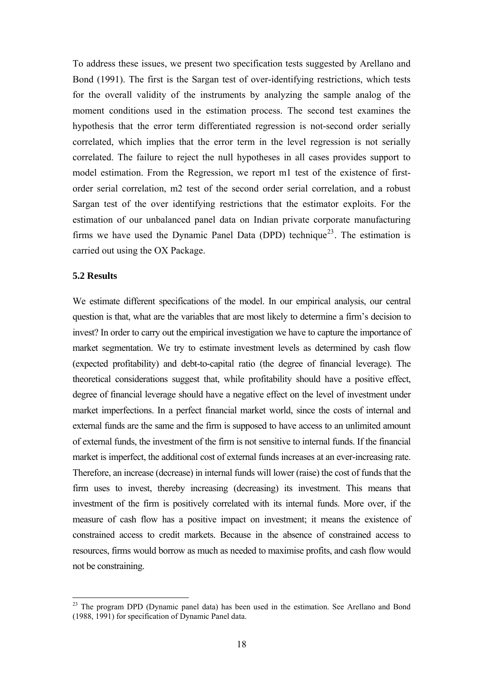To address these issues, we present two specification tests suggested by Arellano and Bond (1991). The first is the Sargan test of over-identifying restrictions, which tests for the overall validity of the instruments by analyzing the sample analog of the moment conditions used in the estimation process. The second test examines the hypothesis that the error term differentiated regression is not-second order serially correlated, which implies that the error term in the level regression is not serially correlated. The failure to reject the null hypotheses in all cases provides support to model estimation. From the Regression, we report m1 test of the existence of firstorder serial correlation, m2 test of the second order serial correlation, and a robust Sargan test of the over identifying restrictions that the estimator exploits. For the estimation of our unbalanced panel data on Indian private corporate manufacturing firms we have used the Dynamic Panel Data (DPD) technique<sup>[23](#page-17-0)</sup>. The estimation is carried out using the OX Package.

# **5.2 Results**

 $\overline{a}$ 

We estimate different specifications of the model. In our empirical analysis, our central question is that, what are the variables that are most likely to determine a firm's decision to invest? In order to carry out the empirical investigation we have to capture the importance of market segmentation. We try to estimate investment levels as determined by cash flow (expected profitability) and debt-to-capital ratio (the degree of financial leverage). The theoretical considerations suggest that, while profitability should have a positive effect, degree of financial leverage should have a negative effect on the level of investment under market imperfections. In a perfect financial market world, since the costs of internal and external funds are the same and the firm is supposed to have access to an unlimited amount of external funds, the investment of the firm is not sensitive to internal funds. If the financial market is imperfect, the additional cost of external funds increases at an ever-increasing rate. Therefore, an increase (decrease) in internal funds will lower (raise) the cost of funds that the firm uses to invest, thereby increasing (decreasing) its investment. This means that investment of the firm is positively correlated with its internal funds. More over, if the measure of cash flow has a positive impact on investment; it means the existence of constrained access to credit markets. Because in the absence of constrained access to resources, firms would borrow as much as needed to maximise profits, and cash flow would not be constraining.

<span id="page-17-0"></span> $23$  The program DPD (Dynamic panel data) has been used in the estimation. See Arellano and Bond (1988, 1991) for specification of Dynamic Panel data.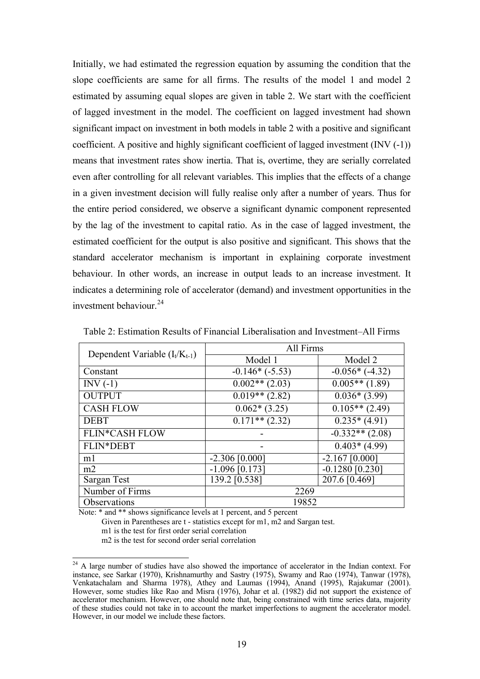Initially, we had estimated the regression equation by assuming the condition that the slope coefficients are same for all firms. The results of the model 1 and model 2 estimated by assuming equal slopes are given in table 2. We start with the coefficient of lagged investment in the model. The coefficient on lagged investment had shown significant impact on investment in both models in table 2 with a positive and significant coefficient. A positive and highly significant coefficient of lagged investment (INV (-1)) means that investment rates show inertia. That is, overtime, they are serially correlated even after controlling for all relevant variables. This implies that the effects of a change in a given investment decision will fully realise only after a number of years. Thus for the entire period considered, we observe a significant dynamic component represented by the lag of the investment to capital ratio. As in the case of lagged investment, the estimated coefficient for the output is also positive and significant. This shows that the standard accelerator mechanism is important in explaining corporate investment behaviour. In other words, an increase in output leads to an increase investment. It indicates a determining role of accelerator (demand) and investment opportunities in the investment behaviour  $^{24}$  $^{24}$  $^{24}$ 

| Dependent Variable $(I_t/K_{t-1})$ | All Firms        |                   |
|------------------------------------|------------------|-------------------|
|                                    | Model 1          | Model 2           |
| Constant                           | $-0.146*(-5.53)$ | $-0.056*(-4.32)$  |
| $INV(-1)$                          | $0.002**$ (2.03) | $0.005**$ (1.89)  |
| <b>OUTPUT</b>                      | $0.019**$ (2.82) | $0.036*(3.99)$    |
| <b>CASH FLOW</b>                   | $0.062*(3.25)$   | $0.105**$ (2.49)  |
| <b>DEBT</b>                        | $0.171**$ (2.32) | $0.235*(4.91)$    |
| <b>FLIN*CASH FLOW</b>              |                  | $-0.332**$ (2.08) |
| FLIN*DEBT                          |                  | $0.403*(4.99)$    |
| m1                                 | $-2.306$ [0.000] | $-2.167$ [0.000]  |
| m2                                 | $-1.096$ [0.173] | $-0.1280$ [0.230] |
| Sargan Test                        | 139.2 [0.538]    | 207.6 [0.469]     |
| Number of Firms                    | 2269             |                   |
| Observations                       | 19852            |                   |

Table 2: Estimation Results of Financial Liberalisation and Investment–All Firms

Note: \* and \*\* shows significance levels at 1 percent, and 5 percent Given in Parentheses are t - statistics except for m1, m2 and Sargan test. m1 is the test for first order serial correlation

m2 is the test for second order serial correlation

<span id="page-18-0"></span><sup>&</sup>lt;sup>24</sup> A large number of studies have also showed the importance of accelerator in the Indian context. For instance, see Sarkar (1970), Krishnamurthy and Sastry (1975), Swamy and Rao (1974), Tanwar (1978), Venkatachalam and Sharma 1978), Athey and Laumas (1994), Anand (1995), Rajakumar (2001). However, some studies like Rao and Misra (1976), Johar et al. (1982) did not support the existence of accelerator mechanism. However, one should note that, being constrained with time series data, majority of these studies could not take in to account the market imperfections to augment the accelerator model. However, in our model we include these factors.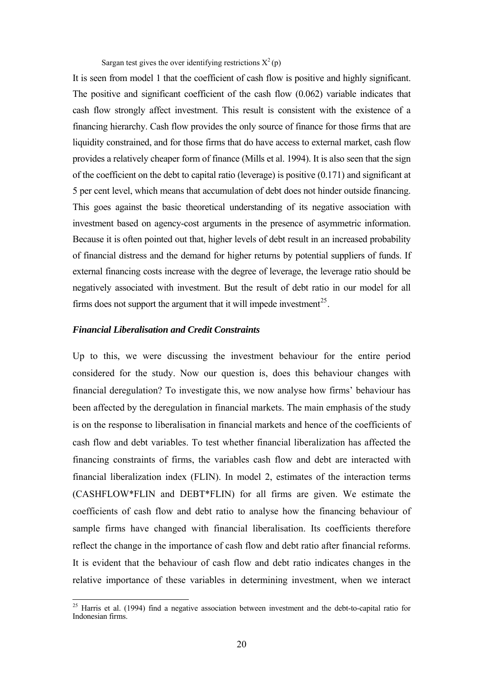Sargan test gives the over identifying restrictions  $X^2(p)$ 

It is seen from model 1 that the coefficient of cash flow is positive and highly significant. The positive and significant coefficient of the cash flow (0.062) variable indicates that cash flow strongly affect investment. This result is consistent with the existence of a financing hierarchy. Cash flow provides the only source of finance for those firms that are liquidity constrained, and for those firms that do have access to external market, cash flow provides a relatively cheaper form of finance (Mills et al. 1994). It is also seen that the sign of the coefficient on the debt to capital ratio (leverage) is positive (0.171) and significant at 5 per cent level, which means that accumulation of debt does not hinder outside financing. This goes against the basic theoretical understanding of its negative association with investment based on agency-cost arguments in the presence of asymmetric information. Because it is often pointed out that, higher levels of debt result in an increased probability of financial distress and the demand for higher returns by potential suppliers of funds. If external financing costs increase with the degree of leverage, the leverage ratio should be negatively associated with investment. But the result of debt ratio in our model for all firms does not support the argument that it will impede investment<sup>[25](#page-19-0)</sup>.

# *Financial Liberalisation and Credit Constraints*

 $\overline{a}$ 

Up to this, we were discussing the investment behaviour for the entire period considered for the study. Now our question is, does this behaviour changes with financial deregulation? To investigate this, we now analyse how firms' behaviour has been affected by the deregulation in financial markets. The main emphasis of the study is on the response to liberalisation in financial markets and hence of the coefficients of cash flow and debt variables. To test whether financial liberalization has affected the financing constraints of firms, the variables cash flow and debt are interacted with financial liberalization index (FLIN). In model 2, estimates of the interaction terms (CASHFLOW\*FLIN and DEBT\*FLIN) for all firms are given. We estimate the coefficients of cash flow and debt ratio to analyse how the financing behaviour of sample firms have changed with financial liberalisation. Its coefficients therefore reflect the change in the importance of cash flow and debt ratio after financial reforms. It is evident that the behaviour of cash flow and debt ratio indicates changes in the relative importance of these variables in determining investment, when we interact

<span id="page-19-0"></span> $25$  Harris et al. (1994) find a negative association between investment and the debt-to-capital ratio for Indonesian firms.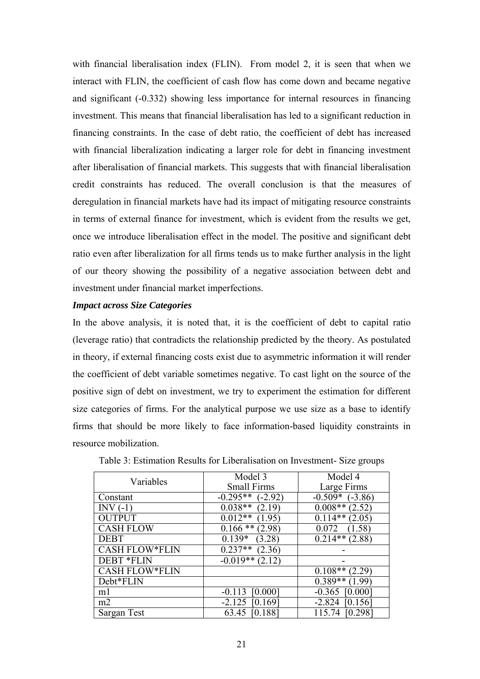with financial liberalisation index (FLIN). From model 2, it is seen that when we interact with FLIN, the coefficient of cash flow has come down and became negative and significant (-0.332) showing less importance for internal resources in financing investment. This means that financial liberalisation has led to a significant reduction in financing constraints. In the case of debt ratio, the coefficient of debt has increased with financial liberalization indicating a larger role for debt in financing investment after liberalisation of financial markets. This suggests that with financial liberalisation credit constraints has reduced. The overall conclusion is that the measures of deregulation in financial markets have had its impact of mitigating resource constraints in terms of external finance for investment, which is evident from the results we get, once we introduce liberalisation effect in the model. The positive and significant debt ratio even after liberalization for all firms tends us to make further analysis in the light of our theory showing the possibility of a negative association between debt and investment under financial market imperfections.

# *Impact across Size Categories*

In the above analysis, it is noted that, it is the coefficient of debt to capital ratio (leverage ratio) that contradicts the relationship predicted by the theory. As postulated in theory, if external financing costs exist due to asymmetric information it will render the coefficient of debt variable sometimes negative. To cast light on the source of the positive sign of debt on investment, we try to experiment the estimation for different size categories of firms. For the analytical purpose we use size as a base to identify firms that should be more likely to face information-based liquidity constraints in resource mobilization.

| Variables             | Model 3<br><b>Small Firms</b> | Model 4<br>Large Firms |
|-----------------------|-------------------------------|------------------------|
| Constant              | $-0.295**$<br>$-2.92$         | $-0.509*$<br>$(-3.86)$ |
| INV $(-1)$            | $0.038**$<br>(2.19)           | $0.008**$<br>(2.52)    |
| <b>OUTPUT</b>         | $0.012**$<br>(1.95)           | $0.114**$<br>(2.05)    |
| <b>CASH FLOW</b>      | $0.166**$<br>(2.98)           | 0.072<br>(1.58)        |
| <b>DEBT</b>           | $0.139*$<br>(3.28)            | $0.214**$<br>(2.88)    |
| <b>CASH FLOW*FLIN</b> | $0.237**$<br>(2.36)           |                        |
| <b>DEBT *FLIN</b>     | $-0.019**$<br>(2.12)          |                        |
| <b>CASH FLOW*FLIN</b> |                               | $0.108**$<br>(2.29)    |
| Debt*FLIN             |                               | $0.389**$<br>(1.99)    |
| m1                    | $-0.113$<br>[0.000]           | $-0.365$<br> 0.000     |
| m2                    | $-2.125$<br>[0.169]           | $-2.824$<br>10.156     |
| Sargan Test           | [0.188]<br>63.45              | [0.298]<br>115.74      |

Table 3: Estimation Results for Liberalisation on Investment- Size groups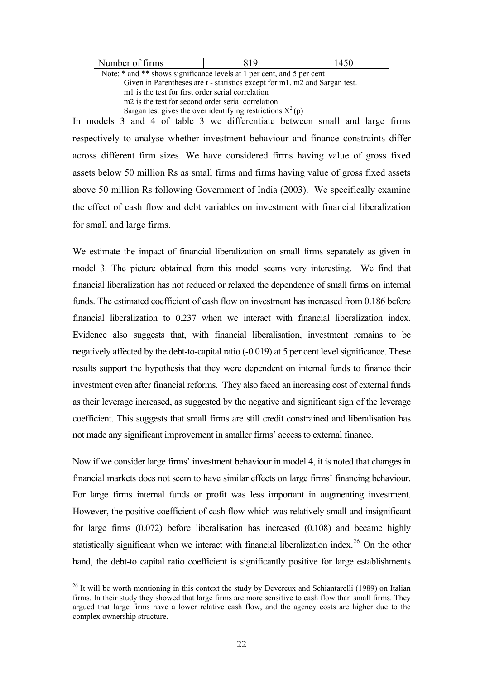| Number of firms                                                        | 819 | 1450 |
|------------------------------------------------------------------------|-----|------|
| Note: * and ** shows significance levels at 1 per cent, and 5 per cent |     |      |

 Given in Parentheses are t - statistics except for m1, m2 and Sargan test. m1 is the test for first order serial correlation m2 is the test for second order serial correlation Sargan test gives the over identifying restrictions  $X^2(p)$ 

In models 3 and 4 of table 3 we differentiate between small and large firms respectively to analyse whether investment behaviour and finance constraints differ across different firm sizes. We have considered firms having value of gross fixed assets below 50 million Rs as small firms and firms having value of gross fixed assets above 50 million Rs following Government of India (2003). We specifically examine the effect of cash flow and debt variables on investment with financial liberalization for small and large firms.

We estimate the impact of financial liberalization on small firms separately as given in model 3. The picture obtained from this model seems very interesting. We find that financial liberalization has not reduced or relaxed the dependence of small firms on internal funds. The estimated coefficient of cash flow on investment has increased from 0.186 before financial liberalization to 0.237 when we interact with financial liberalization index. Evidence also suggests that, with financial liberalisation, investment remains to be negatively affected by the debt-to-capital ratio (-0.019) at 5 per cent level significance. These results support the hypothesis that they were dependent on internal funds to finance their investment even after financial reforms. They also faced an increasing cost of external funds as their leverage increased, as suggested by the negative and significant sign of the leverage coefficient. This suggests that small firms are still credit constrained and liberalisation has not made any significant improvement in smaller firms' access to external finance.

Now if we consider large firms' investment behaviour in model 4, it is noted that changes in financial markets does not seem to have similar effects on large firms' financing behaviour. For large firms internal funds or profit was less important in augmenting investment. However, the positive coefficient of cash flow which was relatively small and insignificant for large firms (0.072) before liberalisation has increased (0.108) and became highly statistically significant when we interact with financial liberalization index.<sup>[26](#page-21-0)</sup> On the other hand, the debt-to capital ratio coefficient is significantly positive for large establishments

<span id="page-21-0"></span> $26$  It will be worth mentioning in this context the study by Devereux and Schiantarelli (1989) on Italian firms. In their study they showed that large firms are more sensitive to cash flow than small firms. They argued that large firms have a lower relative cash flow, and the agency costs are higher due to the complex ownership structure.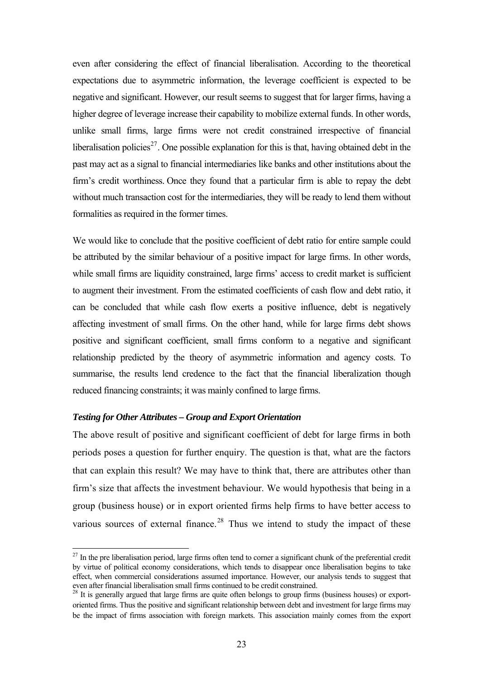even after considering the effect of financial liberalisation. According to the theoretical expectations due to asymmetric information, the leverage coefficient is expected to be negative and significant. However, our result seems to suggest that for larger firms, having a higher degree of leverage increase their capability to mobilize external funds. In other words, unlike small firms, large firms were not credit constrained irrespective of financial liberalisation policies<sup>[27](#page-22-0)</sup>. One possible explanation for this is that, having obtained debt in the past may act as a signal to financial intermediaries like banks and other institutions about the firm's credit worthiness. Once they found that a particular firm is able to repay the debt without much transaction cost for the intermediaries, they will be ready to lend them without formalities as required in the former times.

We would like to conclude that the positive coefficient of debt ratio for entire sample could be attributed by the similar behaviour of a positive impact for large firms. In other words, while small firms are liquidity constrained, large firms' access to credit market is sufficient to augment their investment. From the estimated coefficients of cash flow and debt ratio, it can be concluded that while cash flow exerts a positive influence, debt is negatively affecting investment of small firms. On the other hand, while for large firms debt shows positive and significant coefficient, small firms conform to a negative and significant relationship predicted by the theory of asymmetric information and agency costs. To summarise, the results lend credence to the fact that the financial liberalization though reduced financing constraints; it was mainly confined to large firms.

# *Testing for Other Attributes – Group and Export Orientation*

 $\overline{a}$ 

The above result of positive and significant coefficient of debt for large firms in both periods poses a question for further enquiry. The question is that, what are the factors that can explain this result? We may have to think that, there are attributes other than firm's size that affects the investment behaviour. We would hypothesis that being in a group (business house) or in export oriented firms help firms to have better access to various sources of external finance.<sup>[28](#page-22-1)</sup> Thus we intend to study the impact of these

<span id="page-22-0"></span> $27$  In the pre liberalisation period, large firms often tend to corner a significant chunk of the preferential credit by virtue of political economy considerations, which tends to disappear once liberalisation begins to take effect, when commercial considerations assumed importance. However, our analysis tends to suggest that even after financial liberalisation small firms continued to be credit constrained.

<span id="page-22-1"></span> $2<sup>28</sup>$  It is generally argued that large firms are quite often belongs to group firms (business houses) or exportoriented firms. Thus the positive and significant relationship between debt and investment for large firms may be the impact of firms association with foreign markets. This association mainly comes from the export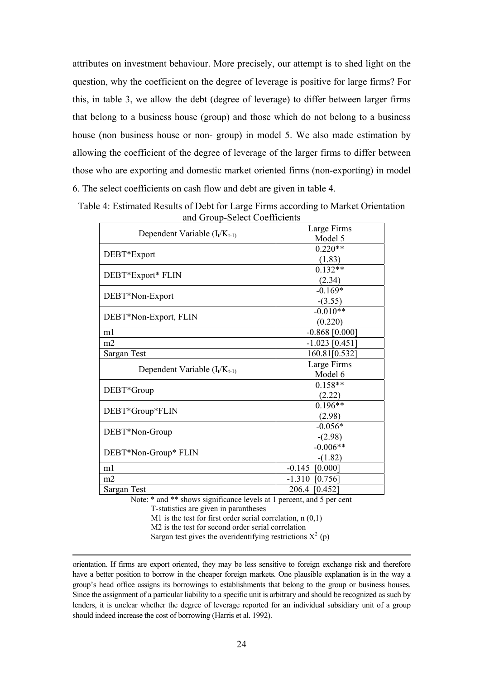attributes on investment behaviour. More precisely, our attempt is to shed light on the question, why the coefficient on the degree of leverage is positive for large firms? For this, in table 3, we allow the debt (degree of leverage) to differ between larger firms that belong to a business house (group) and those which do not belong to a business house (non business house or non- group) in model 5. We also made estimation by allowing the coefficient of the degree of leverage of the larger firms to differ between those who are exporting and domestic market oriented firms (non-exporting) in model 6. The select coefficients on cash flow and debt are given in table 4.

| Dependent Variable $(I_t/K_{t-1})$ | Large Firms      |
|------------------------------------|------------------|
|                                    | Model 5          |
|                                    | $0.220**$        |
| DEBT*Export                        | (1.83)           |
|                                    | $0.132**$        |
| DEBT*Export* FLIN                  | (2.34)           |
| DEBT*Non-Export                    | $-0.169*$        |
|                                    | $-(3.55)$        |
| DEBT*Non-Export, FLIN              | $-0.010**$       |
|                                    | (0.220)          |
| m1                                 | $-0.868$ [0.000] |
| m2                                 | $-1.023$ [0.451] |
| Sargan Test                        | 160.81[0.532]    |
|                                    | Large Firms      |
| Dependent Variable $(I_t/K_{t-1})$ | Model 6          |
| DEBT*Group                         | $0.158**$        |
|                                    | (2.22)           |
| DEBT*Group*FLIN                    | $0.196**$        |
|                                    | (2.98)           |
| DEBT*Non-Group                     | $-0.056*$        |
|                                    | $-(2.98)$        |
| DEBT*Non-Group* FLIN               | $-0.006**$       |
|                                    | $-(1.82)$        |
| m1                                 | $-0.145$ [0.000] |
| m2                                 | $-1.310$ [0.756] |
| Sargan Test                        | 206.4 [0.452]    |

Table 4: Estimated Results of Debt for Large Firms according to Market Orientation and Group-Select Coefficients

Note: \* and \*\* shows significance levels at 1 percent, and 5 per cent

T-statistics are given in parantheses

M1 is the test for first order serial correlation,  $n(0.1)$ 

M<sub>2</sub> is the test for second order serial correlation

Sargan test gives the overidentifying restrictions  $X^2$  (p)

 orientation. If firms are export oriented, they may be less sensitive to foreign exchange risk and therefore have a better position to borrow in the cheaper foreign markets. One plausible explanation is in the way a group's head office assigns its borrowings to establishments that belong to the group or business houses. Since the assignment of a particular liability to a specific unit is arbitrary and should be recognized as such by lenders, it is unclear whether the degree of leverage reported for an individual subsidiary unit of a group should indeed increase the cost of borrowing (Harris et al. 1992).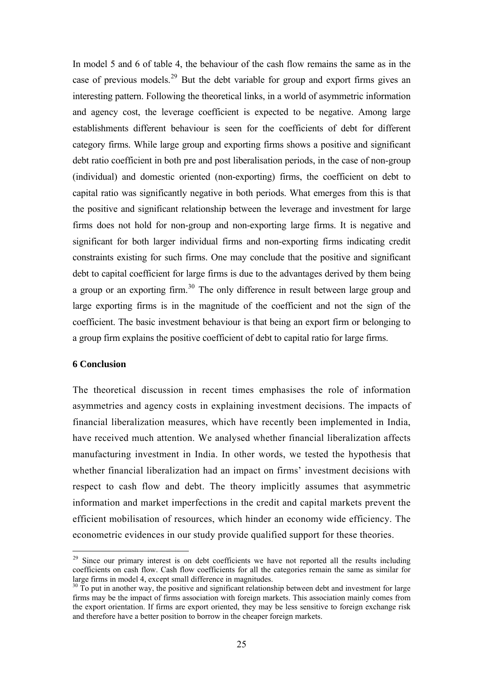In model 5 and 6 of table 4, the behaviour of the cash flow remains the same as in the case of previous models.<sup>[29](#page-24-0)</sup> But the debt variable for group and export firms gives an interesting pattern. Following the theoretical links, in a world of asymmetric information and agency cost, the leverage coefficient is expected to be negative. Among large establishments different behaviour is seen for the coefficients of debt for different category firms. While large group and exporting firms shows a positive and significant debt ratio coefficient in both pre and post liberalisation periods, in the case of non-group (individual) and domestic oriented (non-exporting) firms, the coefficient on debt to capital ratio was significantly negative in both periods. What emerges from this is that the positive and significant relationship between the leverage and investment for large firms does not hold for non-group and non-exporting large firms. It is negative and significant for both larger individual firms and non-exporting firms indicating credit constraints existing for such firms. One may conclude that the positive and significant debt to capital coefficient for large firms is due to the advantages derived by them being a group or an exporting firm.<sup>[30](#page-24-1)</sup> The only difference in result between large group and large exporting firms is in the magnitude of the coefficient and not the sign of the coefficient. The basic investment behaviour is that being an export firm or belonging to a group firm explains the positive coefficient of debt to capital ratio for large firms.

# **6 Conclusion**

 $\overline{a}$ 

The theoretical discussion in recent times emphasises the role of information asymmetries and agency costs in explaining investment decisions. The impacts of financial liberalization measures, which have recently been implemented in India, have received much attention. We analysed whether financial liberalization affects manufacturing investment in India. In other words, we tested the hypothesis that whether financial liberalization had an impact on firms' investment decisions with respect to cash flow and debt. The theory implicitly assumes that asymmetric information and market imperfections in the credit and capital markets prevent the efficient mobilisation of resources, which hinder an economy wide efficiency. The econometric evidences in our study provide qualified support for these theories.

<span id="page-24-0"></span><sup>&</sup>lt;sup>29</sup> Since our primary interest is on debt coefficients we have not reported all the results including coefficients on cash flow. Cash flow coefficients for all the categories remain the same as similar for large firms in model 4, except small difference in magnitudes.

<span id="page-24-1"></span> $30$  To put in another way, the positive and significant relationship between debt and investment for large firms may be the impact of firms association with foreign markets. This association mainly comes from the export orientation. If firms are export oriented, they may be less sensitive to foreign exchange risk and therefore have a better position to borrow in the cheaper foreign markets.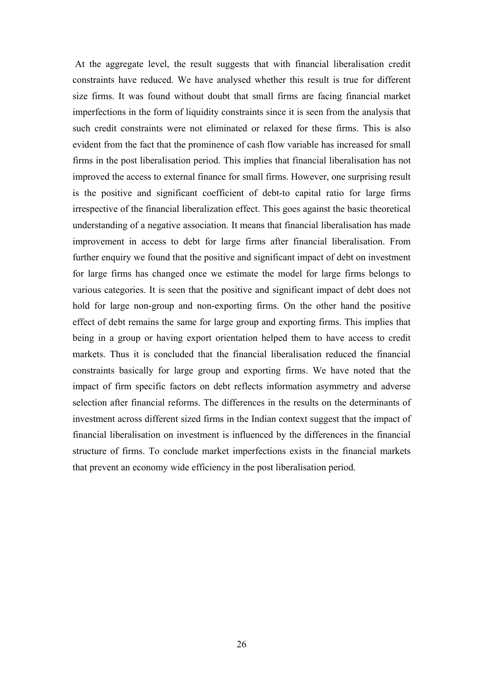At the aggregate level, the result suggests that with financial liberalisation credit constraints have reduced. We have analysed whether this result is true for different size firms. It was found without doubt that small firms are facing financial market imperfections in the form of liquidity constraints since it is seen from the analysis that such credit constraints were not eliminated or relaxed for these firms. This is also evident from the fact that the prominence of cash flow variable has increased for small firms in the post liberalisation period. This implies that financial liberalisation has not improved the access to external finance for small firms. However, one surprising result is the positive and significant coefficient of debt-to capital ratio for large firms irrespective of the financial liberalization effect. This goes against the basic theoretical understanding of a negative association. It means that financial liberalisation has made improvement in access to debt for large firms after financial liberalisation. From further enquiry we found that the positive and significant impact of debt on investment for large firms has changed once we estimate the model for large firms belongs to various categories. It is seen that the positive and significant impact of debt does not hold for large non-group and non-exporting firms. On the other hand the positive effect of debt remains the same for large group and exporting firms. This implies that being in a group or having export orientation helped them to have access to credit markets. Thus it is concluded that the financial liberalisation reduced the financial constraints basically for large group and exporting firms. We have noted that the impact of firm specific factors on debt reflects information asymmetry and adverse selection after financial reforms. The differences in the results on the determinants of investment across different sized firms in the Indian context suggest that the impact of financial liberalisation on investment is influenced by the differences in the financial structure of firms. To conclude market imperfections exists in the financial markets that prevent an economy wide efficiency in the post liberalisation period.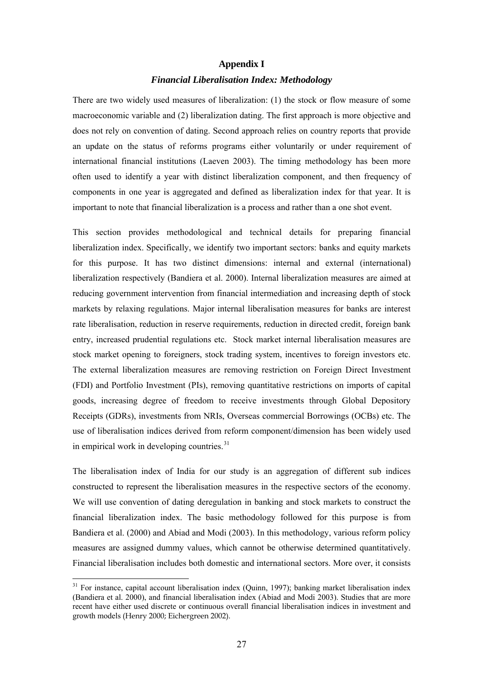# **Appendix I**  *Financial Liberalisation Index: Methodology*

There are two widely used measures of liberalization: (1) the stock or flow measure of some macroeconomic variable and (2) liberalization dating. The first approach is more objective and does not rely on convention of dating. Second approach relies on country reports that provide an update on the status of reforms programs either voluntarily or under requirement of international financial institutions (Laeven 2003). The timing methodology has been more often used to identify a year with distinct liberalization component, and then frequency of components in one year is aggregated and defined as liberalization index for that year. It is important to note that financial liberalization is a process and rather than a one shot event.

This section provides methodological and technical details for preparing financial liberalization index. Specifically, we identify two important sectors: banks and equity markets for this purpose. It has two distinct dimensions: internal and external (international) liberalization respectively (Bandiera et al. 2000). Internal liberalization measures are aimed at reducing government intervention from financial intermediation and increasing depth of stock markets by relaxing regulations. Major internal liberalisation measures for banks are interest rate liberalisation, reduction in reserve requirements, reduction in directed credit, foreign bank entry, increased prudential regulations etc. Stock market internal liberalisation measures are stock market opening to foreigners, stock trading system, incentives to foreign investors etc. The external liberalization measures are removing restriction on Foreign Direct Investment (FDI) and Portfolio Investment (PIs), removing quantitative restrictions on imports of capital goods, increasing degree of freedom to receive investments through Global Depository Receipts (GDRs), investments from NRIs, Overseas commercial Borrowings (OCBs) etc. The use of liberalisation indices derived from reform component/dimension has been widely used in empirical work in developing countries. $31$ 

The liberalisation index of India for our study is an aggregation of different sub indices constructed to represent the liberalisation measures in the respective sectors of the economy. We will use convention of dating deregulation in banking and stock markets to construct the financial liberalization index. The basic methodology followed for this purpose is from Bandiera et al. (2000) and Abiad and Modi (2003). In this methodology, various reform policy measures are assigned dummy values, which cannot be otherwise determined quantitatively. Financial liberalisation includes both domestic and international sectors. More over, it consists

<span id="page-26-0"></span><sup>&</sup>lt;sup>31</sup> For instance, capital account liberalisation index (Quinn, 1997); banking market liberalisation index (Bandiera et al. 2000), and financial liberalisation index (Abiad and Modi 2003). Studies that are more recent have either used discrete or continuous overall financial liberalisation indices in investment and growth models (Henry 2000; Eichergreen 2002).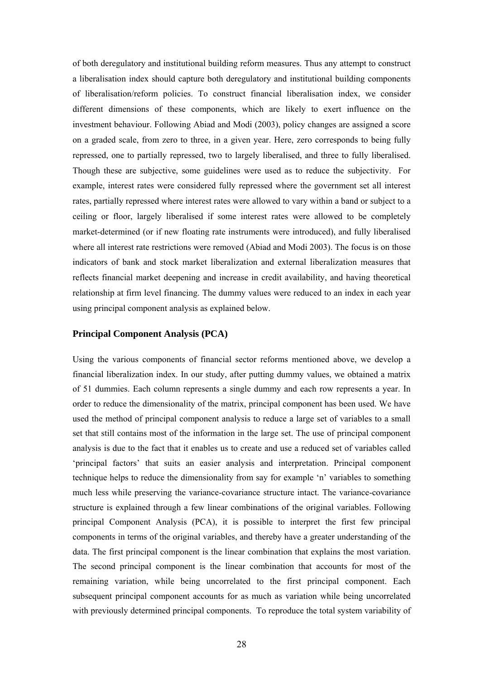of both deregulatory and institutional building reform measures. Thus any attempt to construct a liberalisation index should capture both deregulatory and institutional building components of liberalisation/reform policies. To construct financial liberalisation index, we consider different dimensions of these components, which are likely to exert influence on the investment behaviour. Following Abiad and Modi (2003), policy changes are assigned a score on a graded scale, from zero to three, in a given year. Here, zero corresponds to being fully repressed, one to partially repressed, two to largely liberalised, and three to fully liberalised. Though these are subjective, some guidelines were used as to reduce the subjectivity. For example, interest rates were considered fully repressed where the government set all interest rates, partially repressed where interest rates were allowed to vary within a band or subject to a ceiling or floor, largely liberalised if some interest rates were allowed to be completely market-determined (or if new floating rate instruments were introduced), and fully liberalised where all interest rate restrictions were removed (Abiad and Modi 2003). The focus is on those indicators of bank and stock market liberalization and external liberalization measures that reflects financial market deepening and increase in credit availability, and having theoretical relationship at firm level financing. The dummy values were reduced to an index in each year using principal component analysis as explained below.

#### **Principal Component Analysis (PCA)**

Using the various components of financial sector reforms mentioned above, we develop a financial liberalization index. In our study, after putting dummy values, we obtained a matrix of 51 dummies. Each column represents a single dummy and each row represents a year. In order to reduce the dimensionality of the matrix, principal component has been used. We have used the method of principal component analysis to reduce a large set of variables to a small set that still contains most of the information in the large set. The use of principal component analysis is due to the fact that it enables us to create and use a reduced set of variables called 'principal factors' that suits an easier analysis and interpretation. Principal component technique helps to reduce the dimensionality from say for example 'n' variables to something much less while preserving the variance-covariance structure intact. The variance-covariance structure is explained through a few linear combinations of the original variables. Following principal Component Analysis (PCA), it is possible to interpret the first few principal components in terms of the original variables, and thereby have a greater understanding of the data. The first principal component is the linear combination that explains the most variation. The second principal component is the linear combination that accounts for most of the remaining variation, while being uncorrelated to the first principal component. Each subsequent principal component accounts for as much as variation while being uncorrelated with previously determined principal components. To reproduce the total system variability of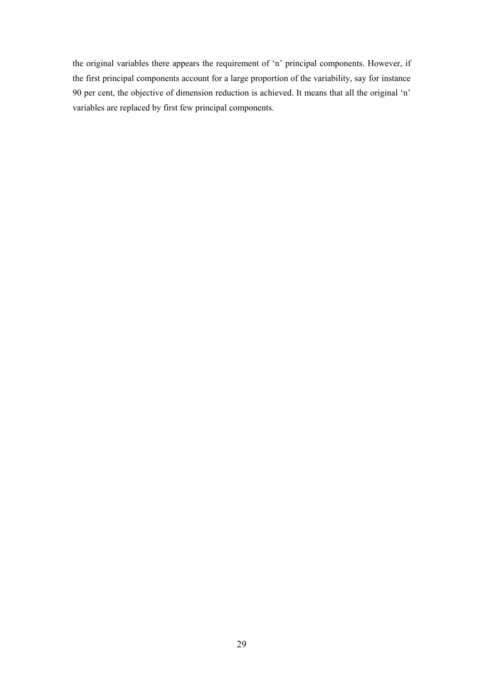the original variables there appears the requirement of 'n' principal components. However, if the first principal components account for a large proportion of the variability, say for instance 90 per cent, the objective of dimension reduction is achieved. It means that all the original 'n' variables are replaced by first few principal components.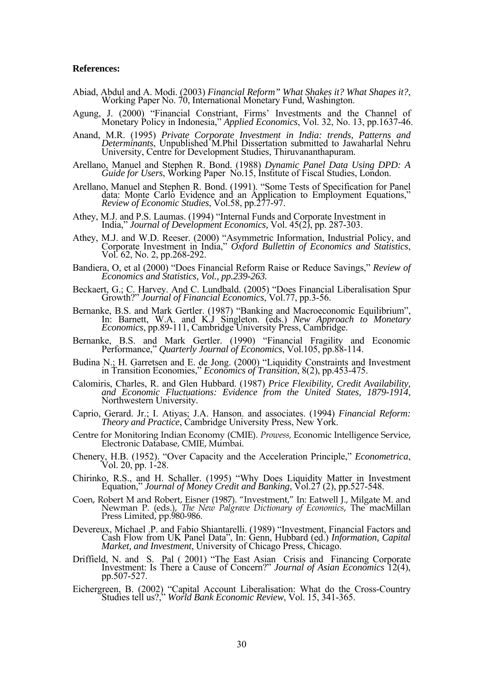#### **References:**

- Abiad, Abdul and A. Modi. (2003) *Financial Reform" What Shakes it? What Shapes it?*, Working Paper No. 70, International Monetary Fund, Washington.
- Agung, J. (2000) "Financial Constriant, Firms' Investments and the Channel of Monetary Policy in Indonesia," *Applied Economics*, Vol. 32, No. 13, pp.1637-46.
- Anand, M.R. (1995) *Private Corporate Investment in India: trends, Patterns and Determinants*, Unpublished M.Phil Dissertation submitted to Jawaharlal Nehru University, Centre for Development Studies, Thiruvananthapuram.
- Arellano, Manuel and Stephen R. Bond. (1988) *Dynamic Panel Data Using DPD: A Guide for Users*, Working Paper No.15, Institute of Fiscal Studies, London.
- Arellano, Manuel and Stephen R. Bond. (1991). "Some Tests of Specification for Panel data: Monte Carlo Evidence and an Application to Employment Equations," *Review of Economic Studies*, Vol.58, pp.277-97.
- Athey, M.J. and P.S. Laumas. (1994) "Internal Funds and Corporate Investment in India," *Journal of Development Economics,* Vol. 45(2), pp. 287-303.
- Athey, M.J. and W.D. Reeser. (2000) "Asymmetric Information, Industrial Policy, and Corporate Investment in India," *Oxford Bullettin of Economics and Statistics*, Vol. 62, No. 2, pp.268-292.
- Bandiera, O, et al (2000) "Does Financial Reform Raise or Reduce Savings," *Review of Economics and Statistics, Vol., pp.239-263.*
- Beckaert, G.; C. Harvey. And C. Lundbald. (2005) "Does Financial Liberalisation Spur Growth?" *Journal of Financial Economics*, Vol.77, pp.3-56.
- Bernanke, B.S. and Mark Gertler. (1987) "Banking and Macroeconomic Equilibrium", In: Barnett, W.A. and K.J Singleton. (eds.) *New Approach to Monetary Economics*, pp.89-111, Cambridge University Press, Cambridge.
- Bernanke, B.S. and Mark Gertler. (1990) "Financial Fragility and Economic Performance," *Quarterly Journal of Economics*, Vol.105, pp.88-114.
- Budina N.; H. Garretsen and E. de Jong. (2000) "Liquidity Constraints and Investment in Transition Economies," *Economics of Transition*, 8(2), pp.453-475.
- Calomiris, Charles, R. and Glen Hubbard. (1987) *Price Flexibility, Credit Availability, and Economic Fluctuations: Evidence from the United States, 1879-1914*, Northwestern University.
- Caprio, Gerard. Jr.; I. Atiyas; J.A. Hanson. and associates. (1994) *Financial Reform: Theory and Practice*, Cambridge University Press, New York.
- Centre for Monitoring Indian Economy (CMIE). *Prowess,* Economic Intelligence Service, Electronic Database, CMIE, Mumbai.
- Chenery, H.B. (1952). "Over Capacity and the Acceleration Principle," *Econometrica*, Vol. 20, pp. 1-28.
- Chirinko, R.S., and H. Schaller. (1995) "Why Does Liquidity Matter in Investment Equation," *Journal of Money Credit and Banking*, Vol.27 (2), pp.527-548.
- Coen, Robert M and Robert, Eisner (1987). "Investment," In: Eatwell J., Milgate M. and Newman P. (eds.), *The New Palgrave Dictionary of Economics*, The macMillan Press Limited, pp.980-986.
- Devereux, Michael .P. and Fabio Shiantarelli. (1989) "Investment, Financial Factors and Cash Flow from UK Panel Data", In: Genn, Hubbard (ed.) Information, Capital Market, and Investment, University of Chicago Press, Chica
- Driffield, N. and S. Pal ( 2001) "The East Asian Crisis and Financing Corporate Investment: Is There a Cause of Concern?" *Journal of Asian Economics* 12(4), pp.507-527.
- Eichergreen, B. (2002) "Capital Account Liberalisation: What do the Cross-Country Studies tell us?," *World Bank Economic Review*, Vol. 15, 341-365.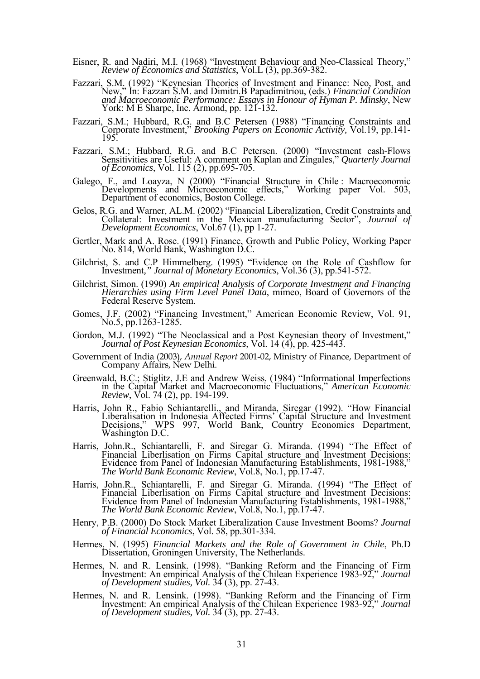- Eisner, R. and Nadiri, M.I. (1968) "Investment Behaviour and Neo-Classical Theory," *Review of Economics and Statistics*, Vol.L (3), pp.369-382.
- Fazzari, S.M. (1992) "Keynesian Theories of Investment and Finance: Neo, Post, and New," In: Fazzari S.M. and Dimitri.B Papadimitriou, (eds.) *Financial Condition and Macroeconomic Performance: Essays in Honour of Hyman P. Minsky*, New York: M E Sharpe, Inc. Armond, pp. 121-132.
- Fazzari, S.M.; Hubbard, R.G. and B.C Petersen (1988) "Financing Constraints and Corporate Investment," *Brooking Papers on Economic Activity,* Vol.19, pp.141- 195.
- Fazzari, S.M.; Hubbard, R.G. and B.C Petersen. (2000) "Investment cash-Flows Sensitivities are Useful: A comment on Kaplan and Zingales," *Quarterly Journal of Economics*, Vol. 115 (2), pp.695-705.
- Galego, F., and Loayza, N (2000) "Financial Structure in Chile : Macroeconomic Developments and Microeconomic effects," Working paper Vol. 503, Department of economics, Boston College.
- Gelos, R.G. and Warner, AL.M. (2002) "Financial Liberalization, Credit Constraints and Collateral: Investment in the Mexican manufacturing Sector", *Journal of Development Economics*, Vol.67 (1), pp 1-27.
- Gertler, Mark and A. Rose. (1991) Finance, Growth and Public Policy, Working Paper No. 814, World Bank, Washington D.C.
- Gilchrist, S. and C.P Himmelberg. (1995) "Evidence on the Role of Cashflow for Investment*," Journal of Monetary Economics*, Vol.36 (3), pp.541-572.
- Gilchrist, Simon. (1990) *An empirical Analysis of Corporate Investment and Financing Hierarchies using Firm Level Panel Data*, mimeo, Board of Governors of the Federal Reserve System.
- Gomes, J.F. (2002) "Financing Investment," American Economic Review, Vol. 91, No.5, pp.1263-1285.
- Gordon, M.J. (1992) "The Neoclassical and a Post Keynesian theory of Investment," *Journal of Post Keynesian Economics*, Vol. 14 (4), pp. 425-443.
- Government of India (2003), *Annual Report* 2001-02, Ministry of Finance, Department of Company Affairs, New Delhi.
- Greenwald, B.C.; Stiglitz, J.E and Andrew Weiss. (1984) "Informational Imperfections in the Capital Market and Macroeconomic Fluctuations," *American Economic Review*, Vol. 74 (2), pp. 194-199.
- Harris, John R., Fabio Schiantarelli., and Miranda, Siregar (1992). "How Financial Liberalisation in Indonesia Affected Firms' Capital Structure and Investment Decisions," WPS 997, World Bank, Country Economics Department, Washington D.C.
- Harris, John.R., Schiantarelli, F. and Siregar G. Miranda. (1994) "The Effect of Financial Liberlisation on Firms Capital structure and Investment Decisions: Evidence from Panel of Indonesian Manufacturing Establishments, 1981-1988," *The World Bank Economic Review*, Vol.8, No.1, pp.17-47.
- Harris, John.R., Schiantarelli, F. and Siregar G. Miranda. (1994) "The Effect of Financial Liberlisation on Firms Capital structure and Investment Decisions: Evidence from Panel of Indonesian Manufacturing Establishments, 1981-1988," *The World Bank Economic Review*, Vol.8, No.1, pp.17-47.
- Henry, P.B. (2000) Do Stock Market Liberalization Cause Investment Booms? *Journal of Financial Economics*, Vol. 58, pp.301-334.
- Hermes, N. (1995) *Financial Markets and the Role of Government in Chile*, Ph.D Dissertation, Groningen University, The Netherlands.
- Hermes, N. and R. Lensink. (1998). "Banking Reform and the Financing of Firm Investment: An empirical Analysis of the Chilean Experience 1983-92," *Journal of Development studies, Vol.* 34 (3), pp. 27-43.
- Hermes, N. and R. Lensink. (1998). "Banking Reform and the Financing of Firm Investment: An empirical Analysis of the Chilean Experience 1983-92," *Journal of Development studies, Vol.* 34 (3), pp. 27-43.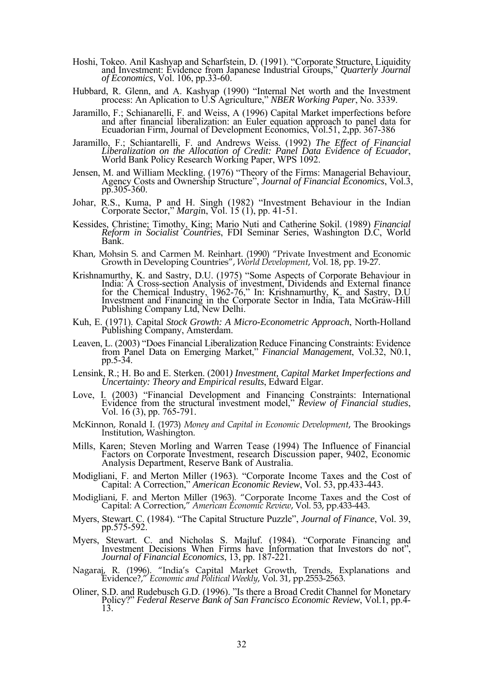- Hoshi, Tokeo. Anil Kashyap and Scharfstein, D. (1991). "Corporate Structure, Liquidity and Investment: Evidence from Japanese Industrial Groups," *Quarterly Journal of Economics*, Vol. 106, pp.33-60.
- Hubbard, R. Glenn, and A. Kashyap (1990) "Internal Net worth and the Investment process: An Aplication to U.S Agriculture," *NBER Working Paper*, No. 3339.
- Jaramillo, F.; Schianarelli, F. and Weiss, A (1996) Capital Market imperfections before and after financial liberalization: an Euler equation approach to panel data for Ecuadorian Firm, Journal of Development Economics, Vo
- Jaramillo, F.; Schiantarelli, F. and Andrews Weiss. (1992) *The Effect of Financial Liberalization on the Allocation of Credit: Panel Data Evidence of Ecuador*, World Bank Policy Research Working Paper, WPS 1092.
- Jensen, M. and William Meckling. (1976) "Theory of the Firms: Managerial Behaviour, Agency Costs and Ownership Structure", *Journal of Financial Economics*, Vol.3, pp.305-360.
- Johar, R.S., Kuma, P and H. Singh (1982) "Investment Behaviour in the Indian Corporate Sector," *Margi*n, Vol. 15 (1), pp. 41-51.
- Kessides, Christine; Timothy, King; Mario Nuti and Catherine Sokil. (1989) *Financial Reform in Socialist Countries*, FDI Seminar Series, Washington D.C, World Bank.
- Khan, Mohsin S. and Carmen M. Reinhart. (1990) "Private Investment and Economic Growth in Developing Countries", *World Development*, Vol. 18, pp. 19-27.
- Krishnamurthy, K. and Sastry, D.U. (1975) "Some Aspects of Corporate Behaviour in India: A Cross-section Analysis of investment, Dividends and External finance for the Chemical Industry, 1962-76," In: Krishnamurthy, K. and Sastry, D.U Investment and Financing in the Corporate Sector in India, Tata McGraw-Hill Publishing Company Ltd, New Delhi.
- Kuh, E. (1971). Capital *Stock Growth: A Micro-Econometric Approach*, North-Holland Publishing Company, Amsterdam.
- Leaven, L. (2003) "Does Financial Liberalization Reduce Financing Constraints: Evidence from Panel Data on Emerging Market," *Financial Management*, Vol.32, N0.1, pp.5-34.
- Lensink, R.; H. Bo and E. Sterken. (2001*) Investment, Capital Market Imperfections and Uncertainty: Theory and Empirical results*, Edward Elgar.
- Love, I. (2003) "Financial Development and Financing Constraints: International Evidence from the structural investment model," *Review of Financial studies*, Vol. 16 (3), pp. 765-791.
- McKinnon, Ronald I. (1973) *Money and Capital in Economic Development*, The Brookings Institution, Washington.
- Mills, Karen; Steven Morling and Warren Tease (1994) The Influence of Financial Factors on Corporate Investment, research Discussion paper, 9402, Economic Analysis Department, Reserve Bank of Australia.
- Modigliani, F. and Merton Miller (1963). "Corporate Income Taxes and the Cost of Capital: A Correction," *American Economic Review*, Vol. 53, pp.433-443.
- Modigliani, F. and Merton Miller (1963). "Corporate Income Taxes and the Cost of Capital: A Correction," *American Economic Review*, Vol. 53, pp.433-443.
- Myers, Stewart. C. (1984). "The Capital Structure Puzzle", *Journal of Finance*, Vol. 39, pp.575-592.
- Myers, Stewart. C. and Nicholas S. Majluf. (1984). "Corporate Financing and Investment Decisions When Firms have Information that Investors do not", *Journal of Financial Economics*, 13, pp. 187-221.
- Nagaraj, R. (1996). "India's Capital Market Growth, Trends, Explanations and Evidence?," *Economic and Political Weekly*, Vol. 31, pp.2553-2563.
- Oliner, S.D. and Rudebusch G.D. (1996). "Is there a Broad Credit Channel for Monetary Policy?" *Federal Reserve Bank of San Francisco Economic Review*, Vol.1, pp.4- 13.